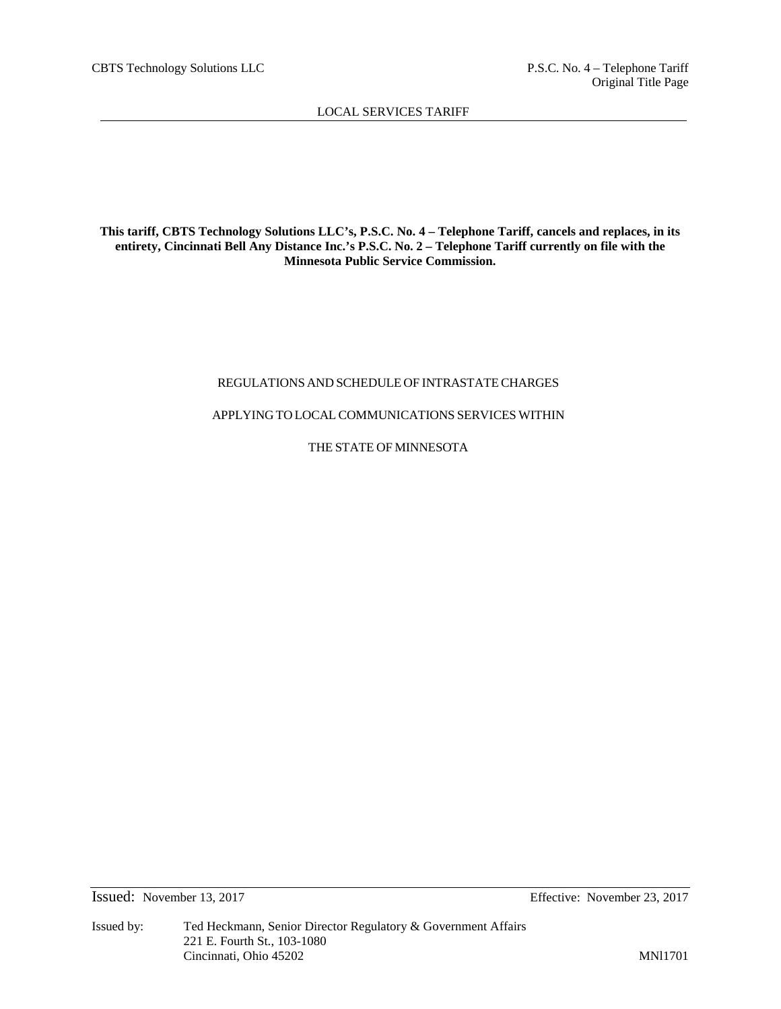**This tariff, CBTS Technology Solutions LLC's, P.S.C. No. 4 – Telephone Tariff, cancels and replaces, in its entirety, Cincinnati Bell Any Distance Inc.'s P.S.C. No. 2 – Telephone Tariff currently on file with the Minnesota Public Service Commission.**

# REGULATIONS AND SCHEDULE OF INTRASTATECHARGES

# APPLYING TO LOCALCOMMUNICATIONS SERVICES WITHIN

THE STATE OF MINNESOTA

Issued: November 13, 2017 Effective: November 23, 2017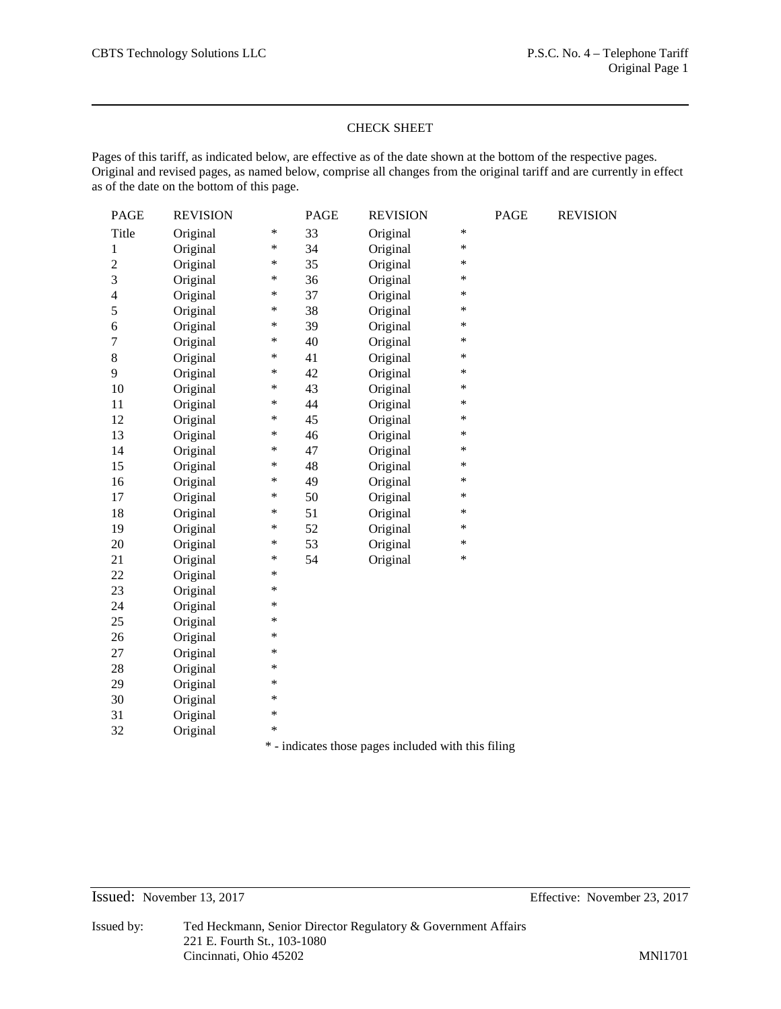# CHECK SHEET

Pages of this tariff, as indicated below, are effective as of the date shown at the bottom of the respective pages. Original and revised pages, as named below, comprise all changes from the original tariff and are currently in effect as of the date on the bottom of this page.

| PAGE             | <b>REVISION</b> |        | <b>PAGE</b> | <b>REVISION</b> |        | PAGE | <b>REVISION</b> |
|------------------|-----------------|--------|-------------|-----------------|--------|------|-----------------|
| Title            | Original        | $\ast$ | 33          | Original        | $\ast$ |      |                 |
| $\mathbf{1}$     | Original        | $\ast$ | 34          | Original        | $\ast$ |      |                 |
| $\overline{2}$   | Original        | ∗      | 35          | Original        | ∗      |      |                 |
| 3                | Original        | $\ast$ | 36          | Original        | $\ast$ |      |                 |
| $\overline{4}$   | Original        | $\ast$ | 37          | Original        | $\ast$ |      |                 |
| 5                | Original        | $\ast$ | 38          | Original        | $\ast$ |      |                 |
| 6                | Original        | ∗      | 39          | Original        | *      |      |                 |
| $\boldsymbol{7}$ | Original        | $\ast$ | 40          | Original        | $\ast$ |      |                 |
| $8\,$            | Original        | $\ast$ | 41          | Original        | $\ast$ |      |                 |
| 9                | Original        | $\ast$ | 42          | Original        | $\ast$ |      |                 |
| 10               | Original        | $\ast$ | 43          | Original        | *      |      |                 |
| 11               | Original        | $\ast$ | 44          | Original        | $\ast$ |      |                 |
| 12               | Original        | $\ast$ | 45          | Original        | $\ast$ |      |                 |
| 13               | Original        | $\ast$ | 46          | Original        | *      |      |                 |
| 14               | Original        | $\ast$ | 47          | Original        | $\ast$ |      |                 |
| 15               | Original        | $\ast$ | 48          | Original        | $\ast$ |      |                 |
| 16               | Original        | $\ast$ | 49          | Original        | *      |      |                 |
| 17               | Original        | $\ast$ | 50          | Original        | *      |      |                 |
| 18               | Original        | $\ast$ | 51          | Original        | $\ast$ |      |                 |
| 19               | Original        | ∗      | 52          | Original        | ∗      |      |                 |
| 20               | Original        | $\ast$ | 53          | Original        | $\ast$ |      |                 |
| 21               | Original        | $\ast$ | 54          | Original        | $\ast$ |      |                 |
| 22               | Original        | $\ast$ |             |                 |        |      |                 |
| 23               | Original        | $\ast$ |             |                 |        |      |                 |
| 24               | Original        | $\ast$ |             |                 |        |      |                 |
| 25               | Original        | *      |             |                 |        |      |                 |
| 26               | Original        | $\ast$ |             |                 |        |      |                 |
| 27               | Original        | *      |             |                 |        |      |                 |
| 28               | Original        | *      |             |                 |        |      |                 |
| 29               | Original        | $\ast$ |             |                 |        |      |                 |
| 30               | Original        | $\ast$ |             |                 |        |      |                 |
| 31               |                 |        |             |                 |        |      |                 |
|                  | Original        | $\ast$ |             |                 |        |      |                 |

\* - indicates those pages included with this filing

Issued: November 13, 2017 Effective: November 23, 2017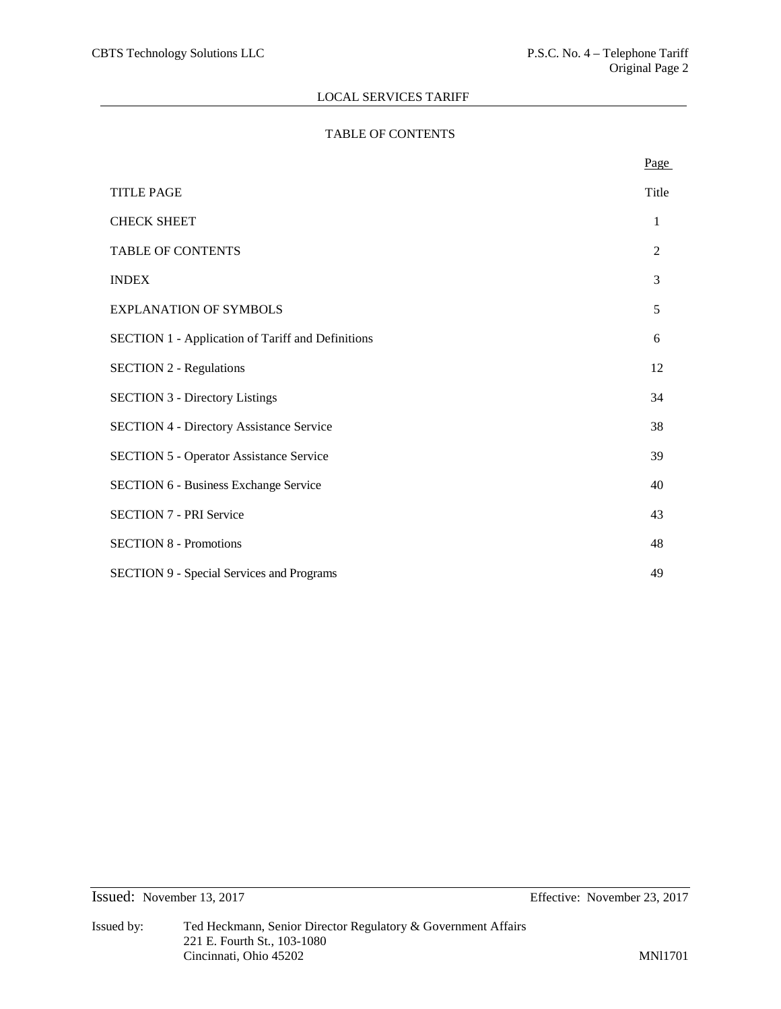# TABLE OF CONTENTS

|                                                          | Page  |
|----------------------------------------------------------|-------|
| <b>TITLE PAGE</b>                                        | Title |
| <b>CHECK SHEET</b>                                       | 1     |
| <b>TABLE OF CONTENTS</b>                                 | 2     |
| <b>INDEX</b>                                             | 3     |
| <b>EXPLANATION OF SYMBOLS</b>                            | 5     |
| <b>SECTION 1 - Application of Tariff and Definitions</b> | 6     |
| <b>SECTION 2 - Regulations</b>                           | 12    |
| <b>SECTION 3 - Directory Listings</b>                    | 34    |
| <b>SECTION 4 - Directory Assistance Service</b>          | 38    |
| <b>SECTION 5 - Operator Assistance Service</b>           | 39    |
| <b>SECTION 6 - Business Exchange Service</b>             | 40    |
| <b>SECTION 7 - PRI Service</b>                           | 43    |
| <b>SECTION 8 - Promotions</b>                            | 48    |
| <b>SECTION 9 - Special Services and Programs</b>         | 49    |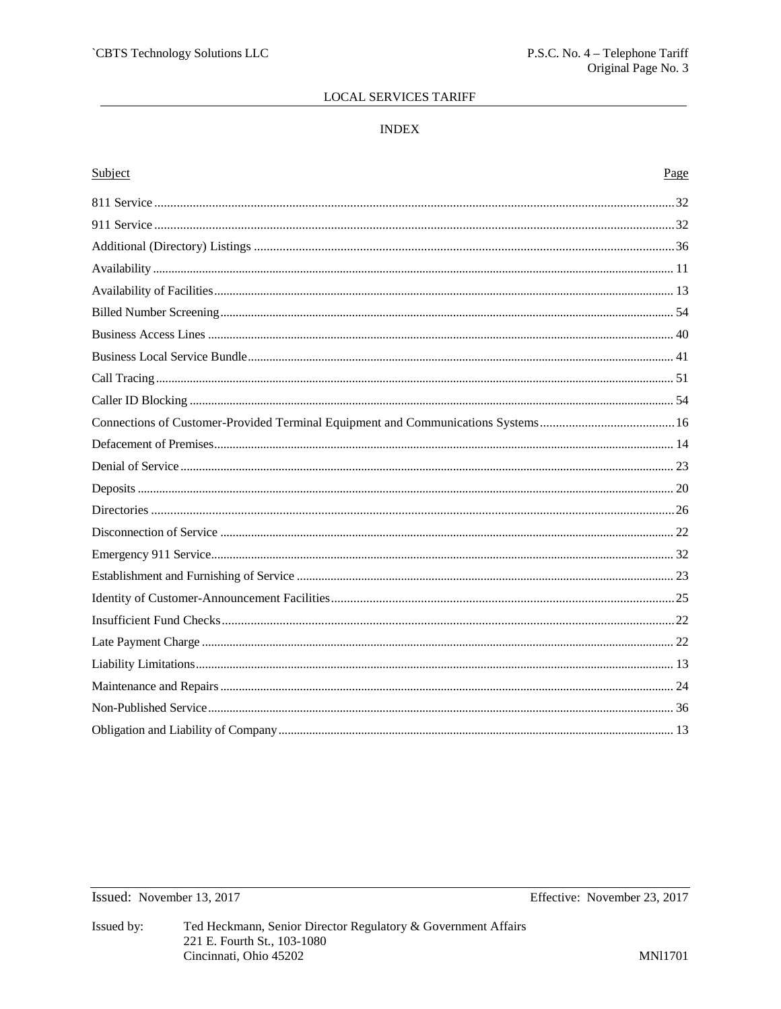# $\ensuremath{\mathsf{INDEX}}$

| Subject | Page |
|---------|------|
|         |      |
|         |      |
|         |      |
|         |      |
|         |      |
|         |      |
|         |      |
|         |      |
|         |      |
|         |      |
|         |      |
|         |      |
|         |      |
|         |      |
|         |      |
|         |      |
|         |      |
|         |      |
|         |      |
|         |      |
|         |      |
|         |      |
|         |      |
|         |      |
|         |      |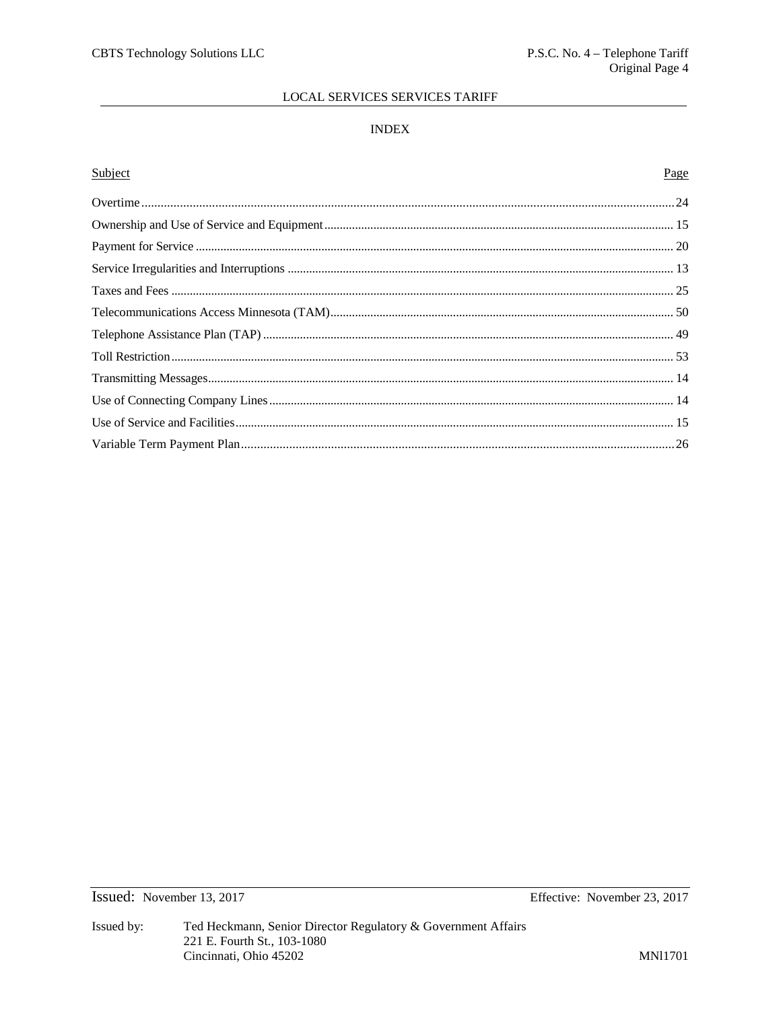# **LOCAL SERVICES SERVICES TARIFF**

# **INDEX**

# Subject Page

Issued: November 13, 2017

Effective: November 23, 2017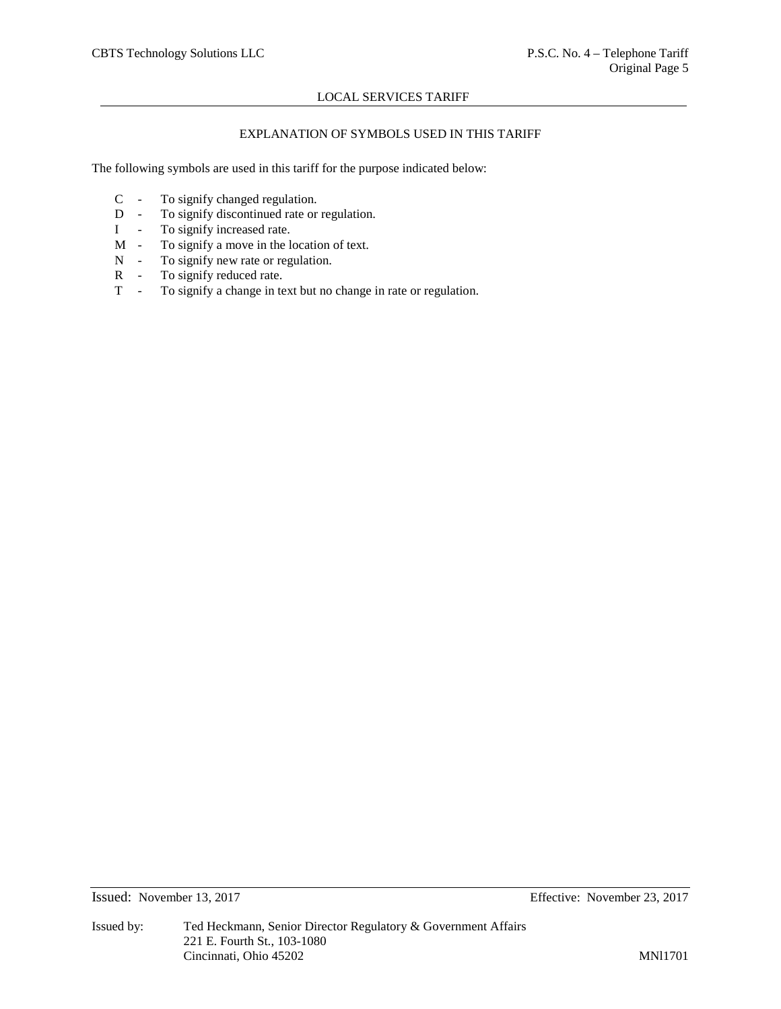# EXPLANATION OF SYMBOLS USED IN THIS TARIFF

The following symbols are used in this tariff for the purpose indicated below:

- C To signify changed regulation.
- D To signify discontinued rate or regulation.
- I To signify increased rate.
- M To signify a move in the location of text.
- N To signify new rate or regulation.
- R To signify reduced rate.
- T To signify a change in text but no change in rate or regulation.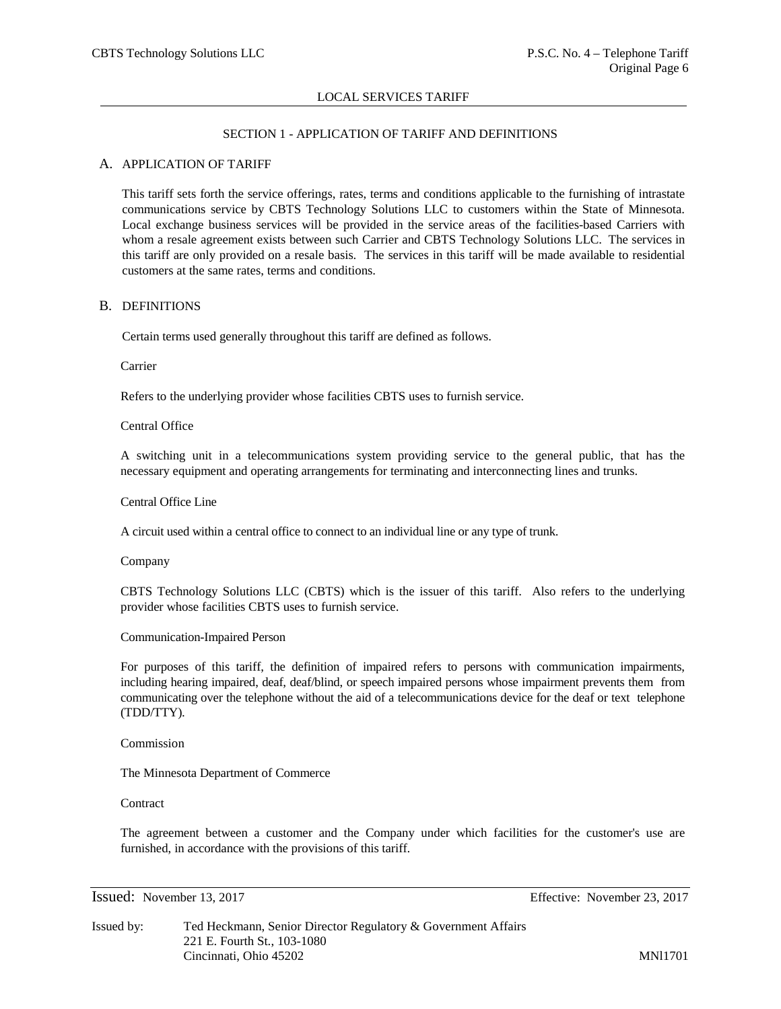# SECTION 1 - APPLICATION OF TARIFF AND DEFINITIONS

### A. APPLICATION OF TARIFF

This tariff sets forth the service offerings, rates, terms and conditions applicable to the furnishing of intrastate communications service by CBTS Technology Solutions LLC to customers within the State of Minnesota. Local exchange business services will be provided in the service areas of the facilities-based Carriers with whom a resale agreement exists between such Carrier and CBTS Technology Solutions LLC. The services in this tariff are only provided on a resale basis. The services in this tariff will be made available to residential customers at the same rates, terms and conditions.

### B. DEFINITIONS

Certain terms used generally throughout this tariff are defined as follows.

Carrier

Refers to the underlying provider whose facilities CBTS uses to furnish service.

Central Office

A switching unit in a telecommunications system providing service to the general public, that has the necessary equipment and operating arrangements for terminating and interconnecting lines and trunks.

Central Office Line

A circuit used within a central office to connect to an individual line or any type of trunk.

Company

CBTS Technology Solutions LLC (CBTS) which is the issuer of this tariff. Also refers to the underlying provider whose facilities CBTS uses to furnish service.

### Communication-Impaired Person

For purposes of this tariff, the definition of impaired refers to persons with communication impairments, including hearing impaired, deaf, deaf/blind, or speech impaired persons whose impairment prevents them from communicating over the telephone without the aid of a telecommunications device for the deaf or text telephone (TDD/TTY).

Commission

The Minnesota Department of Commerce

**Contract** 

The agreement between a customer and the Company under which facilities for the customer's use are furnished, in accordance with the provisions of this tariff.

Issued: November 13, 2017 Effective: November 23, 2017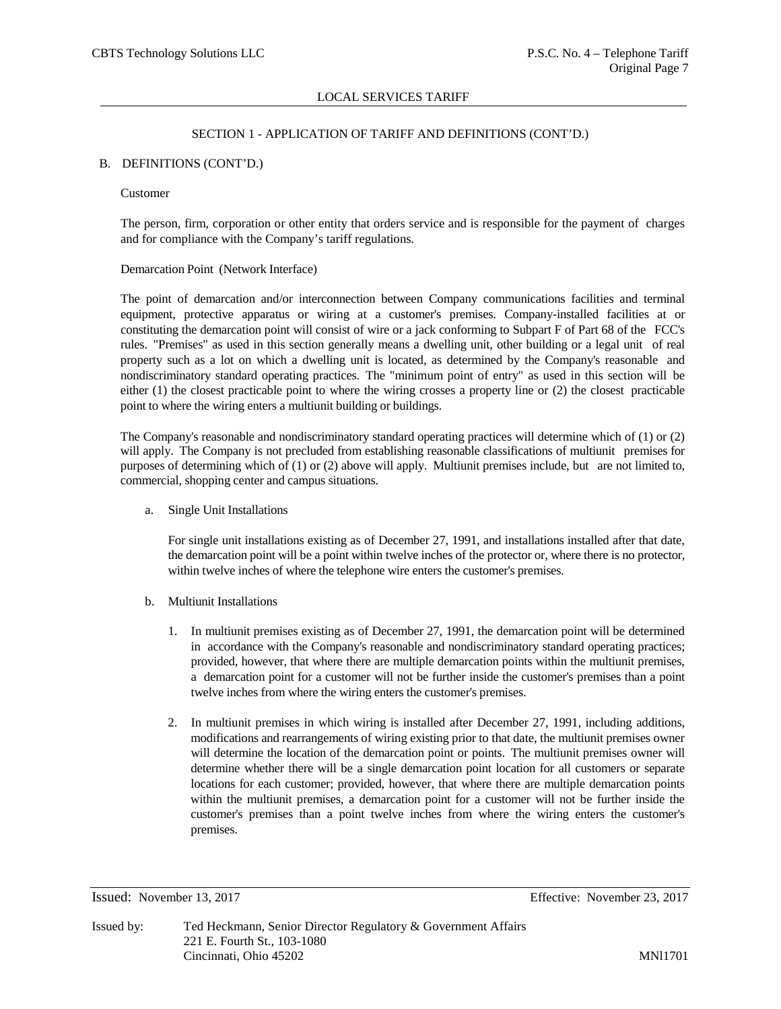# SECTION 1 - APPLICATION OF TARIFF AND DEFINITIONS (CONT'D.)

### B. DEFINITIONS (CONT'D.)

### Customer

The person, firm, corporation or other entity that orders service and is responsible for the payment of charges and for compliance with the Company's tariff regulations.

### Demarcation Point (Network Interface)

The point of demarcation and/or interconnection between Company communications facilities and terminal equipment, protective apparatus or wiring at a customer's premises. Company-installed facilities at or constituting the demarcation point will consist of wire or a jack conforming to Subpart F of Part 68 of the FCC's rules. "Premises" as used in this section generally means a dwelling unit, other building or a legal unit of real property such as a lot on which a dwelling unit is located, as determined by the Company's reasonable and nondiscriminatory standard operating practices. The "minimum point of entry" as used in this section will be either (1) the closest practicable point to where the wiring crosses a property line or (2) the closest practicable point to where the wiring enters a multiunit building or buildings.

The Company's reasonable and nondiscriminatory standard operating practices will determine which of (1) or (2) will apply. The Company is not precluded from establishing reasonable classifications of multiunit premises for purposes of determining which of (1) or (2) above will apply. Multiunit premises include, but are not limited to, commercial, shopping center and campus situations.

a. Single Unit Installations

For single unit installations existing as of December 27, 1991, and installations installed after that date, the demarcation point will be a point within twelve inches of the protector or, where there is no protector, within twelve inches of where the telephone wire enters the customer's premises.

- b. Multiunit Installations
	- 1. In multiunit premises existing as of December 27, 1991, the demarcation point will be determined in accordance with the Company's reasonable and nondiscriminatory standard operating practices; provided, however, that where there are multiple demarcation points within the multiunit premises, a demarcation point for a customer will not be further inside the customer's premises than a point twelve inches from where the wiring enters the customer's premises.
	- 2. In multiunit premises in which wiring is installed after December 27, 1991, including additions, modifications and rearrangements of wiring existing prior to that date, the multiunit premises owner will determine the location of the demarcation point or points. The multiunit premises owner will determine whether there will be a single demarcation point location for all customers or separate locations for each customer; provided, however, that where there are multiple demarcation points within the multiunit premises, a demarcation point for a customer will not be further inside the customer's premises than a point twelve inches from where the wiring enters the customer's premises.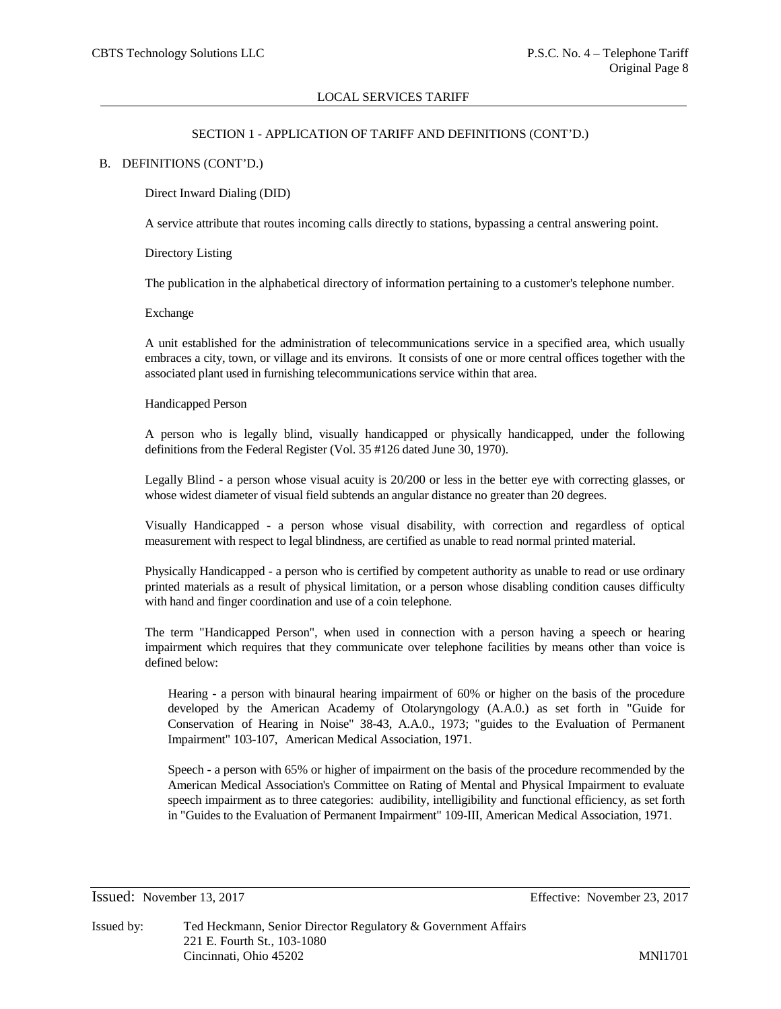# SECTION 1 - APPLICATION OF TARIFF AND DEFINITIONS (CONT'D.)

### B. DEFINITIONS (CONT'D.)

Direct Inward Dialing (DID)

A service attribute that routes incoming calls directly to stations, bypassing a central answering point.

Directory Listing

The publication in the alphabetical directory of information pertaining to a customer's telephone number.

Exchange

A unit established for the administration of telecommunications service in a specified area, which usually embraces a city, town, or village and its environs. It consists of one or more central offices together with the associated plant used in furnishing telecommunications service within that area.

### Handicapped Person

A person who is legally blind, visually handicapped or physically handicapped, under the following definitions from the Federal Register (Vol. 35 #126 dated June 30, 1970).

Legally Blind - a person whose visual acuity is 20/200 or less in the better eye with correcting glasses, or whose widest diameter of visual field subtends an angular distance no greater than 20 degrees.

Visually Handicapped - a person whose visual disability, with correction and regardless of optical measurement with respect to legal blindness, are certified as unable to read normal printed material.

Physically Handicapped - a person who is certified by competent authority as unable to read or use ordinary printed materials as a result of physical limitation, or a person whose disabling condition causes difficulty with hand and finger coordination and use of a coin telephone.

The term "Handicapped Person", when used in connection with a person having a speech or hearing impairment which requires that they communicate over telephone facilities by means other than voice is defined below:

Hearing - a person with binaural hearing impairment of 60% or higher on the basis of the procedure developed by the American Academy of Otolaryngology (A.A.0.) as set forth in "Guide for Conservation of Hearing in Noise" 38-43, A.A.0., 1973; "guides to the Evaluation of Permanent Impairment" 103-107, American Medical Association, 1971.

Speech - a person with 65% or higher of impairment on the basis of the procedure recommended by the American Medical Association's Committee on Rating of Mental and Physical Impairment to evaluate speech impairment as to three categories: audibility, intelligibility and functional efficiency, as set forth in "Guides to the Evaluation of Permanent Impairment" 109-III, American Medical Association, 1971.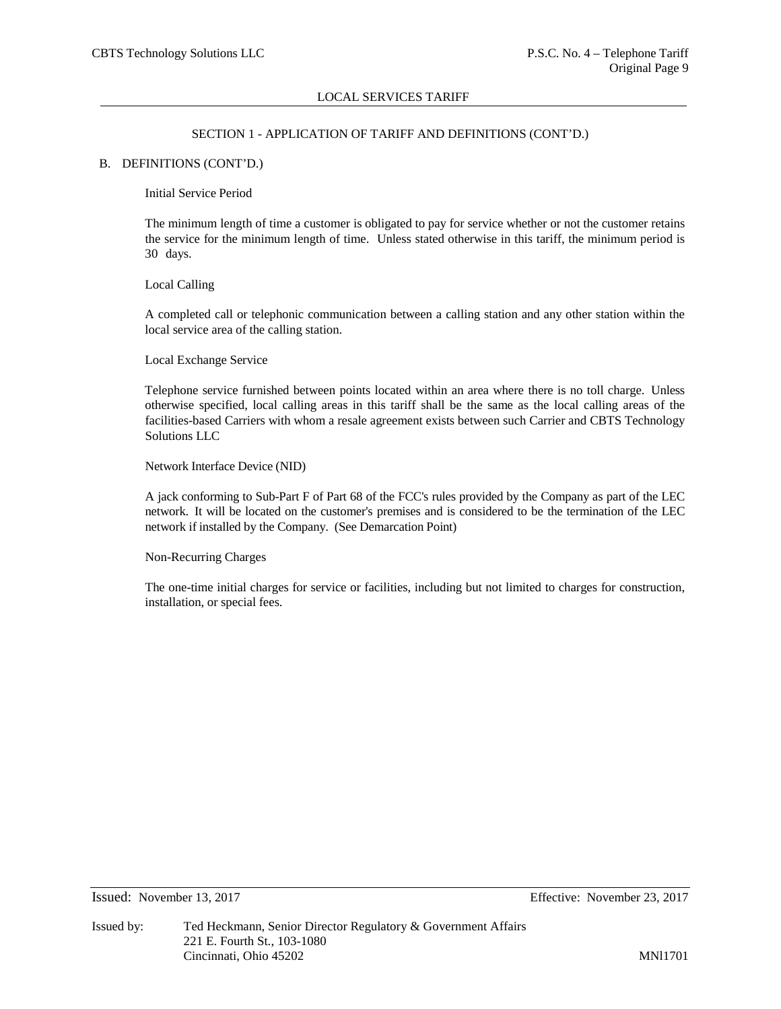# SECTION 1 - APPLICATION OF TARIFF AND DEFINITIONS (CONT'D.)

# B. DEFINITIONS (CONT'D.)

Initial Service Period

The minimum length of time a customer is obligated to pay for service whether or not the customer retains the service for the minimum length of time. Unless stated otherwise in this tariff, the minimum period is 30 days.

### Local Calling

A completed call or telephonic communication between a calling station and any other station within the local service area of the calling station.

Local Exchange Service

Telephone service furnished between points located within an area where there is no toll charge. Unless otherwise specified, local calling areas in this tariff shall be the same as the local calling areas of the facilities-based Carriers with whom a resale agreement exists between such Carrier and CBTS Technology Solutions LLC

Network Interface Device (NID)

A jack conforming to Sub-Part F of Part 68 of the FCC's rules provided by the Company as part of the LEC network. It will be located on the customer's premises and is considered to be the termination of the LEC network if installed by the Company. (See Demarcation Point)

Non-Recurring Charges

The one-time initial charges for service or facilities, including but not limited to charges for construction, installation, or special fees.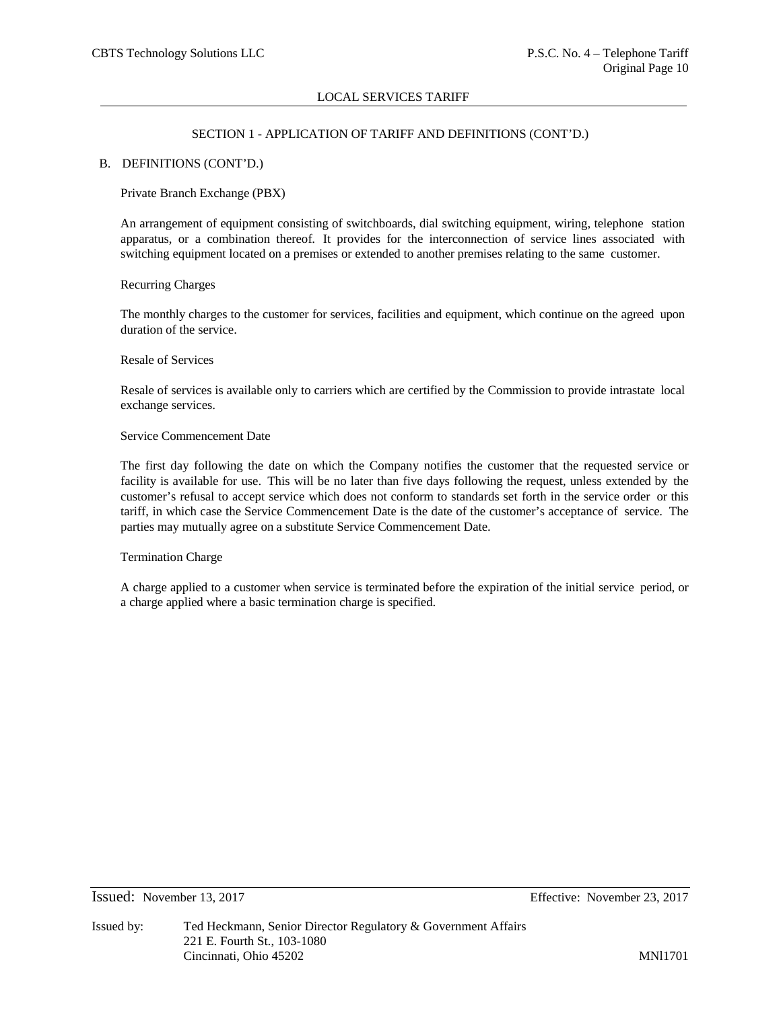# SECTION 1 - APPLICATION OF TARIFF AND DEFINITIONS (CONT'D.)

### B. DEFINITIONS (CONT'D.)

# Private Branch Exchange (PBX)

An arrangement of equipment consisting of switchboards, dial switching equipment, wiring, telephone station apparatus, or a combination thereof. It provides for the interconnection of service lines associated with switching equipment located on a premises or extended to another premises relating to the same customer.

### Recurring Charges

The monthly charges to the customer for services, facilities and equipment, which continue on the agreed upon duration of the service.

### Resale of Services

Resale of services is available only to carriers which are certified by the Commission to provide intrastate local exchange services.

# Service Commencement Date

The first day following the date on which the Company notifies the customer that the requested service or facility is available for use. This will be no later than five days following the request, unless extended by the customer's refusal to accept service which does not conform to standards set forth in the service order or this tariff, in which case the Service Commencement Date is the date of the customer's acceptance of service. The parties may mutually agree on a substitute Service Commencement Date.

### Termination Charge

A charge applied to a customer when service is terminated before the expiration of the initial service period, or a charge applied where a basic termination charge is specified.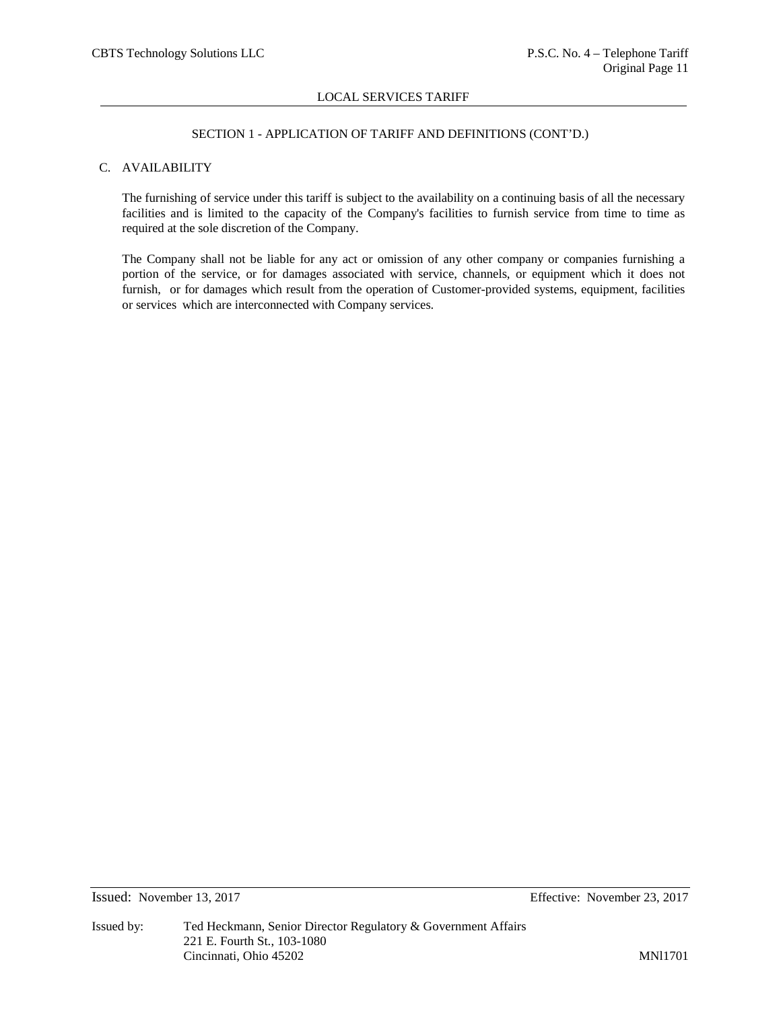# SECTION 1 - APPLICATION OF TARIFF AND DEFINITIONS (CONT'D.)

# C. AVAILABILITY

The furnishing of service under this tariff is subject to the availability on a continuing basis of all the necessary facilities and is limited to the capacity of the Company's facilities to furnish service from time to time as required at the sole discretion of the Company.

The Company shall not be liable for any act or omission of any other company or companies furnishing a portion of the service, or for damages associated with service, channels, or equipment which it does not furnish, or for damages which result from the operation of Customer-provided systems, equipment, facilities or services which are interconnected with Company services.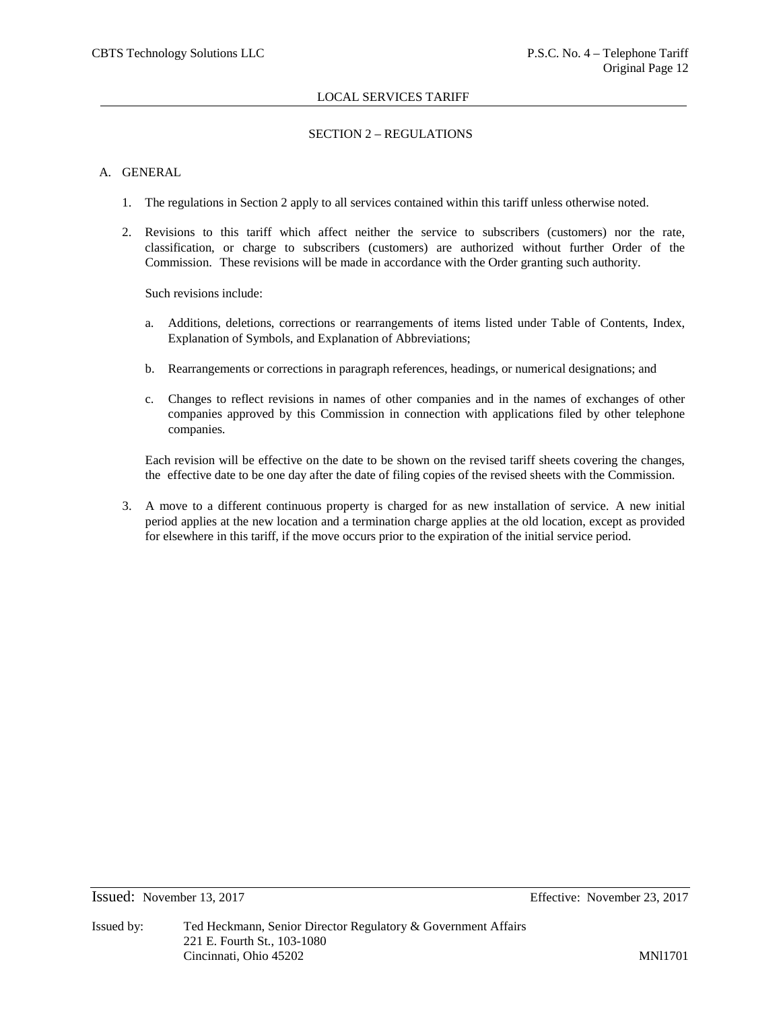# SECTION 2 – REGULATIONS

# A. GENERAL

- 1. The regulations in Section 2 apply to all services contained within this tariff unless otherwise noted.
- 2. Revisions to this tariff which affect neither the service to subscribers (customers) nor the rate, classification, or charge to subscribers (customers) are authorized without further Order of the Commission. These revisions will be made in accordance with the Order granting such authority.

Such revisions include:

- a. Additions, deletions, corrections or rearrangements of items listed under Table of Contents, Index, Explanation of Symbols, and Explanation of Abbreviations;
- b. Rearrangements or corrections in paragraph references, headings, or numerical designations; and
- c. Changes to reflect revisions in names of other companies and in the names of exchanges of other companies approved by this Commission in connection with applications filed by other telephone companies.

Each revision will be effective on the date to be shown on the revised tariff sheets covering the changes, the effective date to be one day after the date of filing copies of the revised sheets with the Commission.

3. A move to a different continuous property is charged for as new installation of service. A new initial period applies at the new location and a termination charge applies at the old location, except as provided for elsewhere in this tariff, if the move occurs prior to the expiration of the initial service period.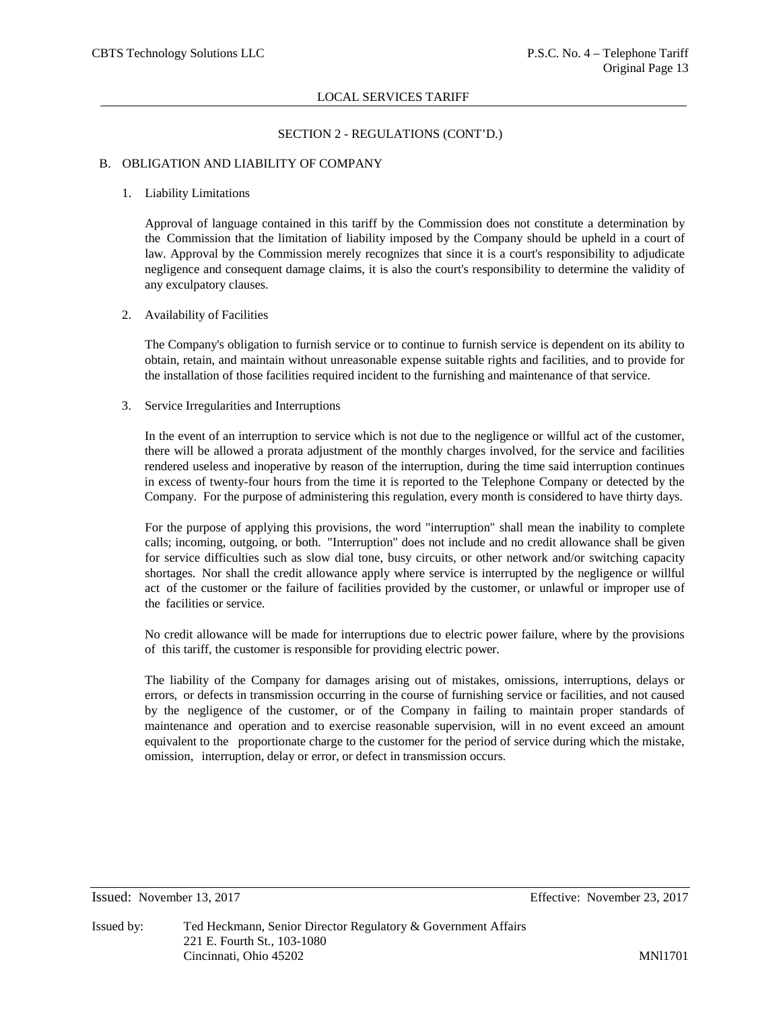# SECTION 2 - REGULATIONS (CONT'D.)

### B. OBLIGATION AND LIABILITY OF COMPANY

# 1. Liability Limitations

Approval of language contained in this tariff by the Commission does not constitute a determination by the Commission that the limitation of liability imposed by the Company should be upheld in a court of law. Approval by the Commission merely recognizes that since it is a court's responsibility to adjudicate negligence and consequent damage claims, it is also the court's responsibility to determine the validity of any exculpatory clauses.

# 2. Availability of Facilities

The Company's obligation to furnish service or to continue to furnish service is dependent on its ability to obtain, retain, and maintain without unreasonable expense suitable rights and facilities, and to provide for the installation of those facilities required incident to the furnishing and maintenance of that service.

# 3. Service Irregularities and Interruptions

In the event of an interruption to service which is not due to the negligence or willful act of the customer, there will be allowed a prorata adjustment of the monthly charges involved, for the service and facilities rendered useless and inoperative by reason of the interruption, during the time said interruption continues in excess of twenty-four hours from the time it is reported to the Telephone Company or detected by the Company. For the purpose of administering this regulation, every month is considered to have thirty days.

For the purpose of applying this provisions, the word "interruption" shall mean the inability to complete calls; incoming, outgoing, or both. "Interruption" does not include and no credit allowance shall be given for service difficulties such as slow dial tone, busy circuits, or other network and/or switching capacity shortages. Nor shall the credit allowance apply where service is interrupted by the negligence or willful act of the customer or the failure of facilities provided by the customer, or unlawful or improper use of the facilities or service.

No credit allowance will be made for interruptions due to electric power failure, where by the provisions of this tariff, the customer is responsible for providing electric power.

The liability of the Company for damages arising out of mistakes, omissions, interruptions, delays or errors, or defects in transmission occurring in the course of furnishing service or facilities, and not caused by the negligence of the customer, or of the Company in failing to maintain proper standards of maintenance and operation and to exercise reasonable supervision, will in no event exceed an amount equivalent to the proportionate charge to the customer for the period of service during which the mistake, omission, interruption, delay or error, or defect in transmission occurs.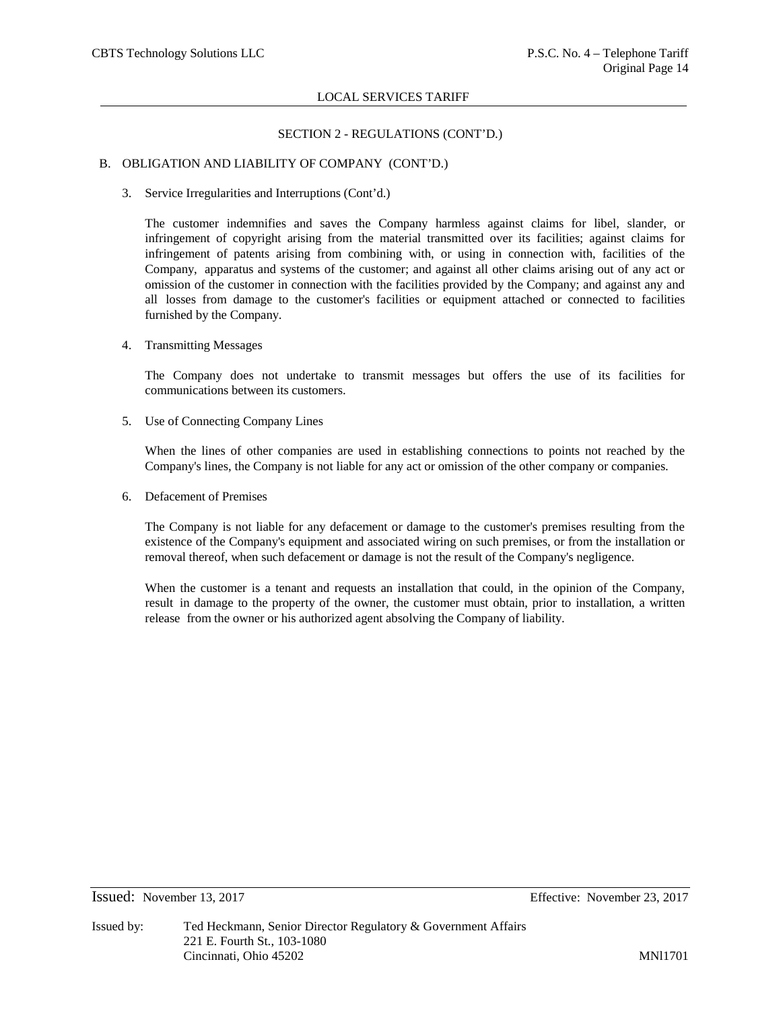# SECTION 2 - REGULATIONS (CONT'D.)

# B. OBLIGATION AND LIABILITY OF COMPANY (CONT'D.)

3. Service Irregularities and Interruptions (Cont'd.)

The customer indemnifies and saves the Company harmless against claims for libel, slander, or infringement of copyright arising from the material transmitted over its facilities; against claims for infringement of patents arising from combining with, or using in connection with, facilities of the Company, apparatus and systems of the customer; and against all other claims arising out of any act or omission of the customer in connection with the facilities provided by the Company; and against any and all losses from damage to the customer's facilities or equipment attached or connected to facilities furnished by the Company.

4. Transmitting Messages

The Company does not undertake to transmit messages but offers the use of its facilities for communications between its customers.

5. Use of Connecting Company Lines

When the lines of other companies are used in establishing connections to points not reached by the Company's lines, the Company is not liable for any act or omission of the other company or companies.

6. Defacement of Premises

The Company is not liable for any defacement or damage to the customer's premises resulting from the existence of the Company's equipment and associated wiring on such premises, or from the installation or removal thereof, when such defacement or damage is not the result of the Company's negligence.

When the customer is a tenant and requests an installation that could, in the opinion of the Company, result in damage to the property of the owner, the customer must obtain, prior to installation, a written release from the owner or his authorized agent absolving the Company of liability.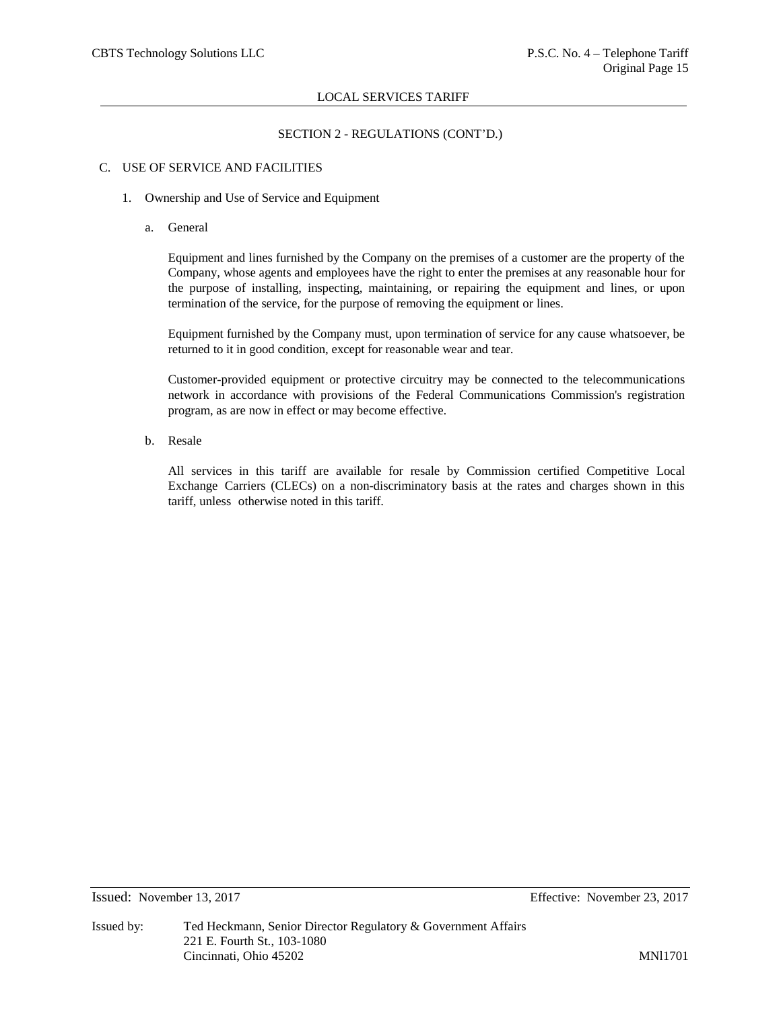# SECTION 2 - REGULATIONS (CONT'D.)

# C. USE OF SERVICE AND FACILITIES

- 1. Ownership and Use of Service and Equipment
	- a. General

Equipment and lines furnished by the Company on the premises of a customer are the property of the Company, whose agents and employees have the right to enter the premises at any reasonable hour for the purpose of installing, inspecting, maintaining, or repairing the equipment and lines, or upon termination of the service, for the purpose of removing the equipment or lines.

Equipment furnished by the Company must, upon termination of service for any cause whatsoever, be returned to it in good condition, except for reasonable wear and tear.

Customer-provided equipment or protective circuitry may be connected to the telecommunications network in accordance with provisions of the Federal Communications Commission's registration program, as are now in effect or may become effective.

b. Resale

All services in this tariff are available for resale by Commission certified Competitive Local Exchange Carriers (CLECs) on a non-discriminatory basis at the rates and charges shown in this tariff, unless otherwise noted in this tariff.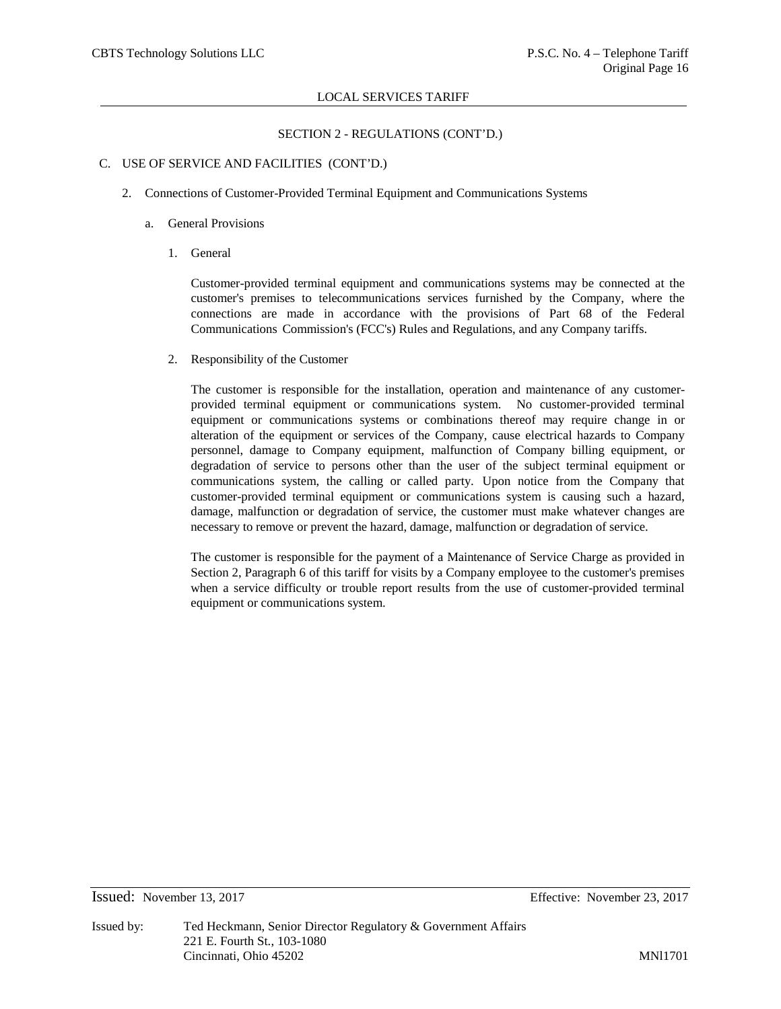# SECTION 2 - REGULATIONS (CONT'D.)

### C. USE OF SERVICE AND FACILITIES (CONT'D.)

- 2. Connections of Customer-Provided Terminal Equipment and Communications Systems
	- a. General Provisions
		- 1. General

Customer-provided terminal equipment and communications systems may be connected at the customer's premises to telecommunications services furnished by the Company, where the connections are made in accordance with the provisions of Part 68 of the Federal Communications Commission's (FCC's) Rules and Regulations, and any Company tariffs.

2. Responsibility of the Customer

The customer is responsible for the installation, operation and maintenance of any customerprovided terminal equipment or communications system. No customer-provided terminal equipment or communications systems or combinations thereof may require change in or alteration of the equipment or services of the Company, cause electrical hazards to Company personnel, damage to Company equipment, malfunction of Company billing equipment, or degradation of service to persons other than the user of the subject terminal equipment or communications system, the calling or called party. Upon notice from the Company that customer-provided terminal equipment or communications system is causing such a hazard, damage, malfunction or degradation of service, the customer must make whatever changes are necessary to remove or prevent the hazard, damage, malfunction or degradation of service.

The customer is responsible for the payment of a Maintenance of Service Charge as provided in Section 2, Paragraph 6 of this tariff for visits by a Company employee to the customer's premises when a service difficulty or trouble report results from the use of customer-provided terminal equipment or communications system.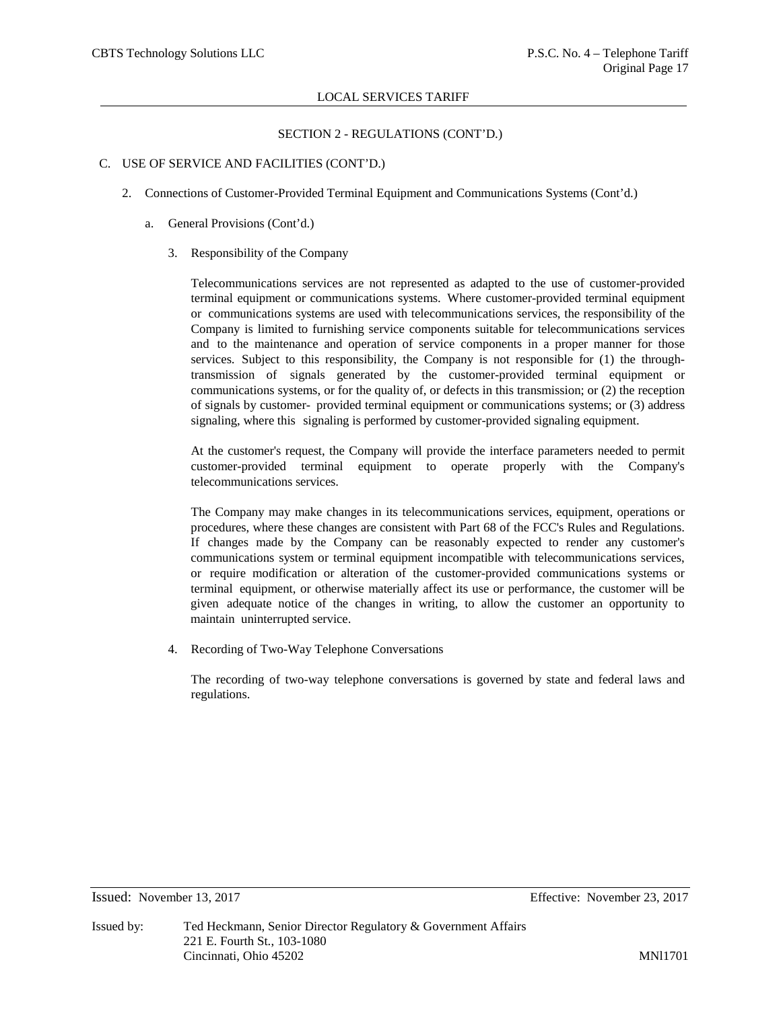# SECTION 2 - REGULATIONS (CONT'D.)

### C. USE OF SERVICE AND FACILITIES (CONT'D.)

- 2. Connections of Customer-Provided Terminal Equipment and Communications Systems (Cont'd.)
	- a. General Provisions (Cont'd.)
		- 3. Responsibility of the Company

Telecommunications services are not represented as adapted to the use of customer-provided terminal equipment or communications systems. Where customer-provided terminal equipment or communications systems are used with telecommunications services, the responsibility of the Company is limited to furnishing service components suitable for telecommunications services and to the maintenance and operation of service components in a proper manner for those services. Subject to this responsibility, the Company is not responsible for (1) the throughtransmission of signals generated by the customer-provided terminal equipment or communications systems, or for the quality of, or defects in this transmission; or (2) the reception of signals by customer- provided terminal equipment or communications systems; or (3) address signaling, where this signaling is performed by customer-provided signaling equipment.

At the customer's request, the Company will provide the interface parameters needed to permit customer-provided terminal equipment to operate properly with the Company's telecommunications services.

The Company may make changes in its telecommunications services, equipment, operations or procedures, where these changes are consistent with Part 68 of the FCC's Rules and Regulations. If changes made by the Company can be reasonably expected to render any customer's communications system or terminal equipment incompatible with telecommunications services, or require modification or alteration of the customer-provided communications systems or terminal equipment, or otherwise materially affect its use or performance, the customer will be given adequate notice of the changes in writing, to allow the customer an opportunity to maintain uninterrupted service.

4. Recording of Two-Way Telephone Conversations

The recording of two-way telephone conversations is governed by state and federal laws and regulations.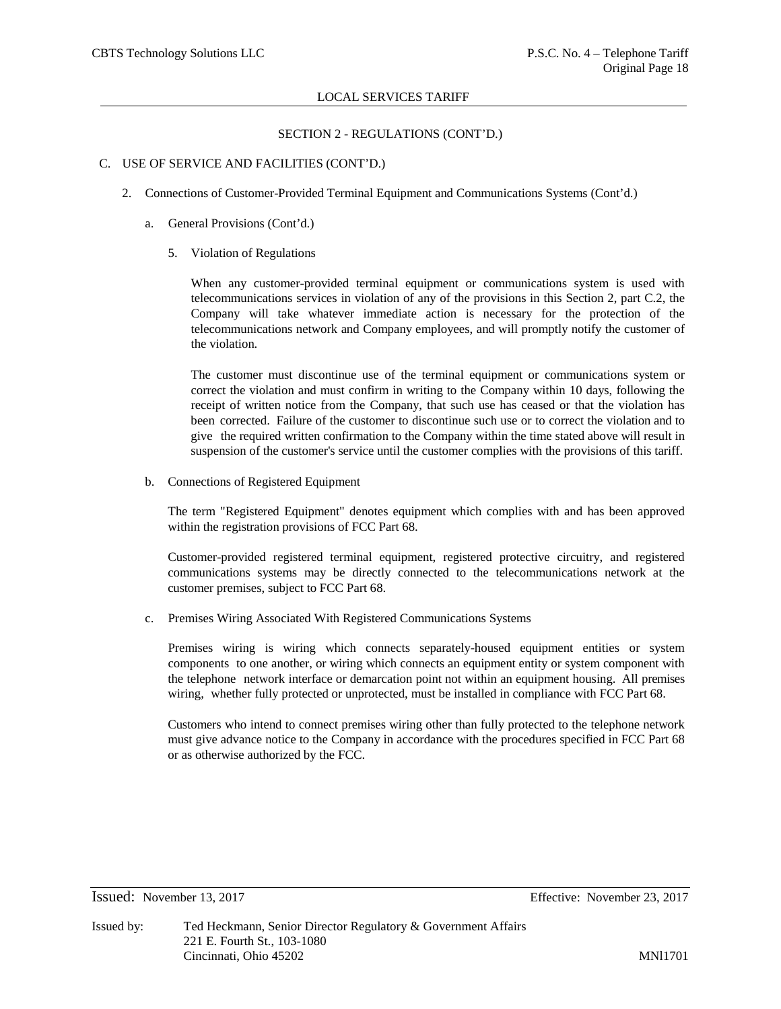# SECTION 2 - REGULATIONS (CONT'D.)

### C. USE OF SERVICE AND FACILITIES (CONT'D.)

- 2. Connections of Customer-Provided Terminal Equipment and Communications Systems (Cont'd.)
	- a. General Provisions (Cont'd.)
		- 5. Violation of Regulations

When any customer-provided terminal equipment or communications system is used with telecommunications services in violation of any of the provisions in this Section 2, part C.2, the Company will take whatever immediate action is necessary for the protection of the telecommunications network and Company employees, and will promptly notify the customer of the violation.

The customer must discontinue use of the terminal equipment or communications system or correct the violation and must confirm in writing to the Company within 10 days, following the receipt of written notice from the Company, that such use has ceased or that the violation has been corrected. Failure of the customer to discontinue such use or to correct the violation and to give the required written confirmation to the Company within the time stated above will result in suspension of the customer's service until the customer complies with the provisions of this tariff.

b. Connections of Registered Equipment

The term "Registered Equipment" denotes equipment which complies with and has been approved within the registration provisions of FCC Part 68.

Customer-provided registered terminal equipment, registered protective circuitry, and registered communications systems may be directly connected to the telecommunications network at the customer premises, subject to FCC Part 68.

c. Premises Wiring Associated With Registered Communications Systems

Premises wiring is wiring which connects separately-housed equipment entities or system components to one another, or wiring which connects an equipment entity or system component with the telephone network interface or demarcation point not within an equipment housing. All premises wiring, whether fully protected or unprotected, must be installed in compliance with FCC Part 68.

Customers who intend to connect premises wiring other than fully protected to the telephone network must give advance notice to the Company in accordance with the procedures specified in FCC Part 68 or as otherwise authorized by the FCC.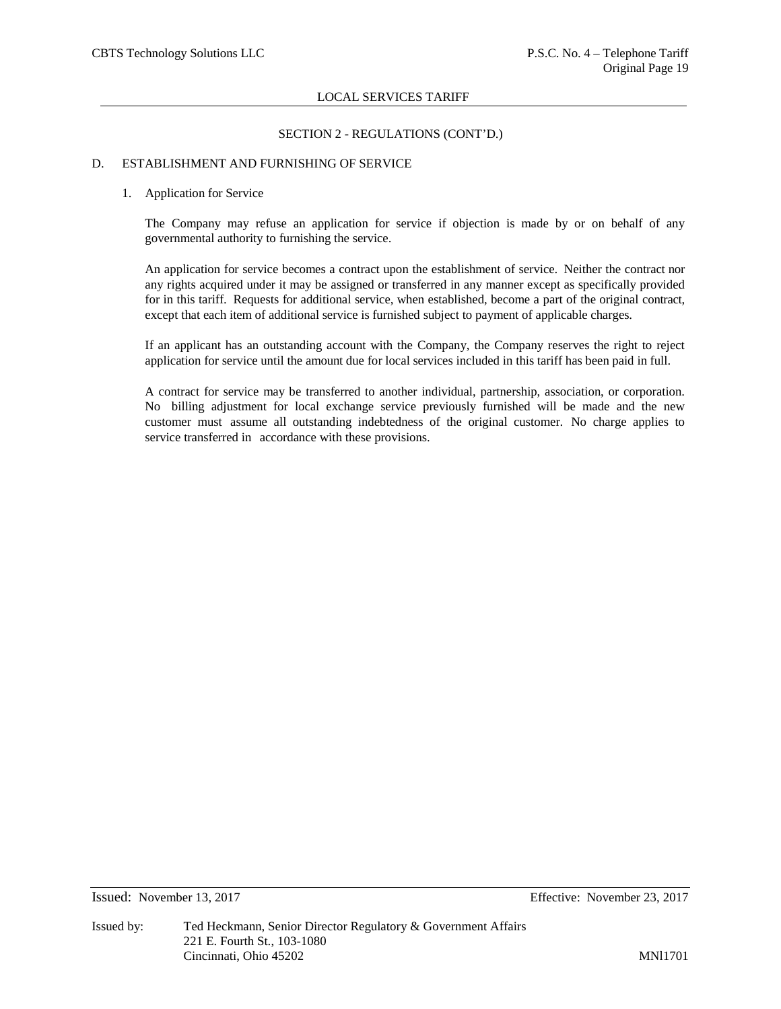# SECTION 2 - REGULATIONS (CONT'D.)

### D. ESTABLISHMENT AND FURNISHING OF SERVICE

### 1. Application for Service

The Company may refuse an application for service if objection is made by or on behalf of any governmental authority to furnishing the service.

An application for service becomes a contract upon the establishment of service. Neither the contract nor any rights acquired under it may be assigned or transferred in any manner except as specifically provided for in this tariff. Requests for additional service, when established, become a part of the original contract, except that each item of additional service is furnished subject to payment of applicable charges.

If an applicant has an outstanding account with the Company, the Company reserves the right to reject application for service until the amount due for local services included in this tariff has been paid in full.

A contract for service may be transferred to another individual, partnership, association, or corporation. No billing adjustment for local exchange service previously furnished will be made and the new customer must assume all outstanding indebtedness of the original customer. No charge applies to service transferred in accordance with these provisions.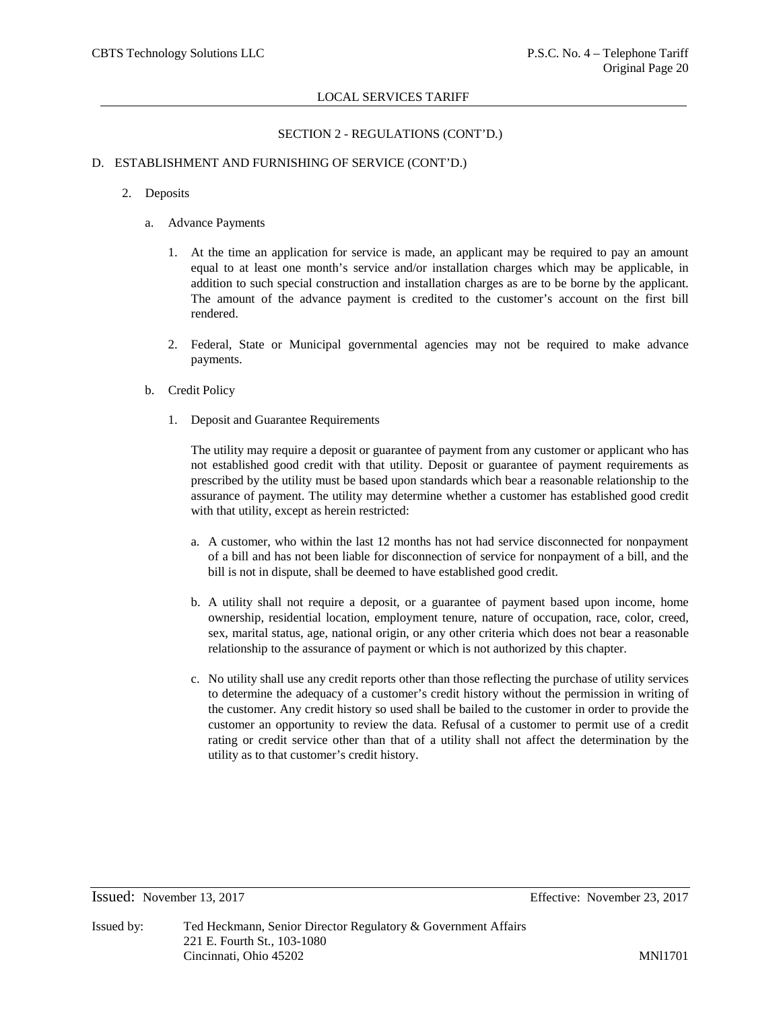# SECTION 2 - REGULATIONS (CONT'D.)

# D. ESTABLISHMENT AND FURNISHING OF SERVICE (CONT'D.)

- 2. Deposits
	- a. Advance Payments
		- 1. At the time an application for service is made, an applicant may be required to pay an amount equal to at least one month's service and/or installation charges which may be applicable, in addition to such special construction and installation charges as are to be borne by the applicant. The amount of the advance payment is credited to the customer's account on the first bill rendered.
		- 2. Federal, State or Municipal governmental agencies may not be required to make advance payments.
	- b. Credit Policy
		- 1. Deposit and Guarantee Requirements

The utility may require a deposit or guarantee of payment from any customer or applicant who has not established good credit with that utility. Deposit or guarantee of payment requirements as prescribed by the utility must be based upon standards which bear a reasonable relationship to the assurance of payment. The utility may determine whether a customer has established good credit with that utility, except as herein restricted:

- a. A customer, who within the last 12 months has not had service disconnected for nonpayment of a bill and has not been liable for disconnection of service for nonpayment of a bill, and the bill is not in dispute, shall be deemed to have established good credit.
- b. A utility shall not require a deposit, or a guarantee of payment based upon income, home ownership, residential location, employment tenure, nature of occupation, race, color, creed, sex, marital status, age, national origin, or any other criteria which does not bear a reasonable relationship to the assurance of payment or which is not authorized by this chapter.
- c. No utility shall use any credit reports other than those reflecting the purchase of utility services to determine the adequacy of a customer's credit history without the permission in writing of the customer. Any credit history so used shall be bailed to the customer in order to provide the customer an opportunity to review the data. Refusal of a customer to permit use of a credit rating or credit service other than that of a utility shall not affect the determination by the utility as to that customer's credit history.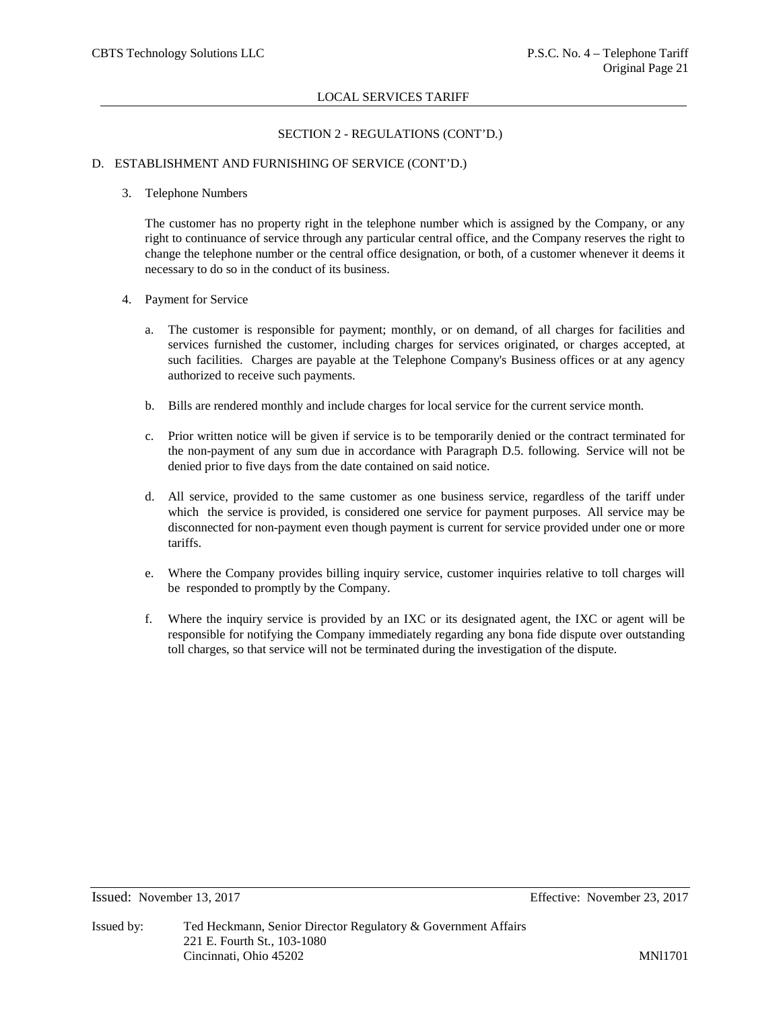# SECTION 2 - REGULATIONS (CONT'D.)

# D. ESTABLISHMENT AND FURNISHING OF SERVICE (CONT'D.)

### 3. Telephone Numbers

The customer has no property right in the telephone number which is assigned by the Company, or any right to continuance of service through any particular central office, and the Company reserves the right to change the telephone number or the central office designation, or both, of a customer whenever it deems it necessary to do so in the conduct of its business.

# 4. Payment for Service

- a. The customer is responsible for payment; monthly, or on demand, of all charges for facilities and services furnished the customer, including charges for services originated, or charges accepted, at such facilities. Charges are payable at the Telephone Company's Business offices or at any agency authorized to receive such payments.
- b. Bills are rendered monthly and include charges for local service for the current service month.
- c. Prior written notice will be given if service is to be temporarily denied or the contract terminated for the non-payment of any sum due in accordance with Paragraph D.5. following. Service will not be denied prior to five days from the date contained on said notice.
- d. All service, provided to the same customer as one business service, regardless of the tariff under which the service is provided, is considered one service for payment purposes. All service may be disconnected for non-payment even though payment is current for service provided under one or more tariffs.
- e. Where the Company provides billing inquiry service, customer inquiries relative to toll charges will be responded to promptly by the Company.
- f. Where the inquiry service is provided by an IXC or its designated agent, the IXC or agent will be responsible for notifying the Company immediately regarding any bona fide dispute over outstanding toll charges, so that service will not be terminated during the investigation of the dispute.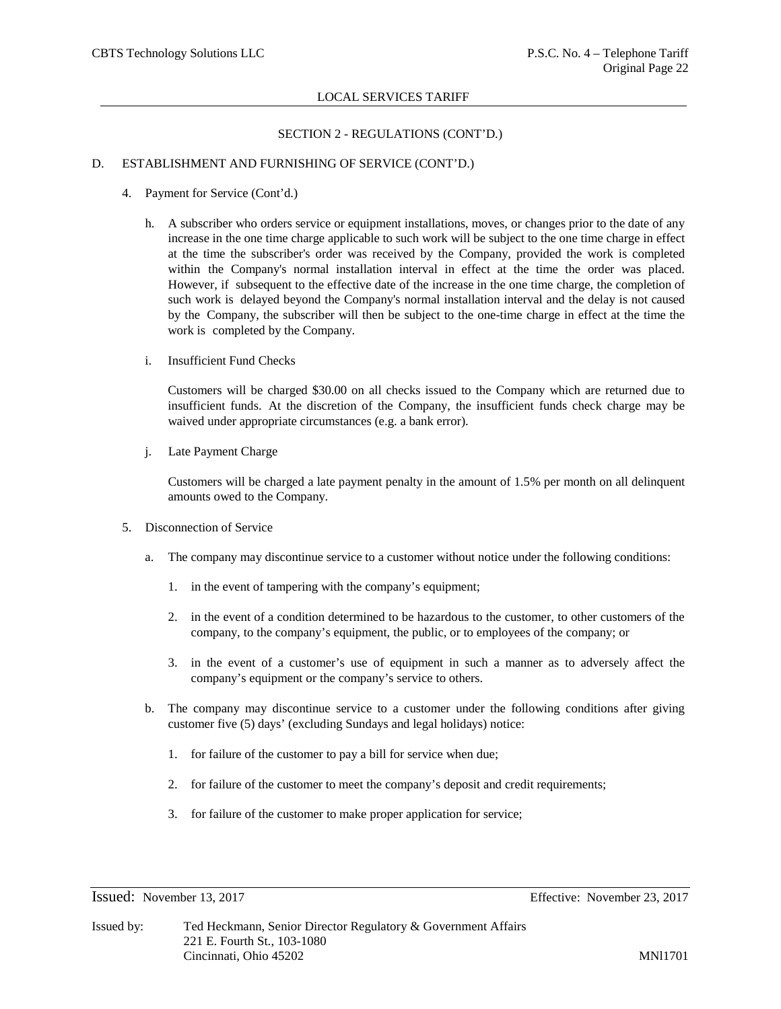# SECTION 2 - REGULATIONS (CONT'D.)

# D. ESTABLISHMENT AND FURNISHING OF SERVICE (CONT'D.)

- 4. Payment for Service (Cont'd.)
	- h. A subscriber who orders service or equipment installations, moves, or changes prior to the date of any increase in the one time charge applicable to such work will be subject to the one time charge in effect at the time the subscriber's order was received by the Company, provided the work is completed within the Company's normal installation interval in effect at the time the order was placed. However, if subsequent to the effective date of the increase in the one time charge, the completion of such work is delayed beyond the Company's normal installation interval and the delay is not caused by the Company, the subscriber will then be subject to the one-time charge in effect at the time the work is completed by the Company.
	- i. Insufficient Fund Checks

Customers will be charged \$30.00 on all checks issued to the Company which are returned due to insufficient funds. At the discretion of the Company, the insufficient funds check charge may be waived under appropriate circumstances (e.g. a bank error).

j. Late Payment Charge

Customers will be charged a late payment penalty in the amount of 1.5% per month on all delinquent amounts owed to the Company.

- 5. Disconnection of Service
	- a. The company may discontinue service to a customer without notice under the following conditions:
		- 1. in the event of tampering with the company's equipment;
		- 2. in the event of a condition determined to be hazardous to the customer, to other customers of the company, to the company's equipment, the public, or to employees of the company; or
		- 3. in the event of a customer's use of equipment in such a manner as to adversely affect the company's equipment or the company's service to others.
	- b. The company may discontinue service to a customer under the following conditions after giving customer five (5) days' (excluding Sundays and legal holidays) notice:
		- 1. for failure of the customer to pay a bill for service when due;
		- 2. for failure of the customer to meet the company's deposit and credit requirements;
		- 3. for failure of the customer to make proper application for service;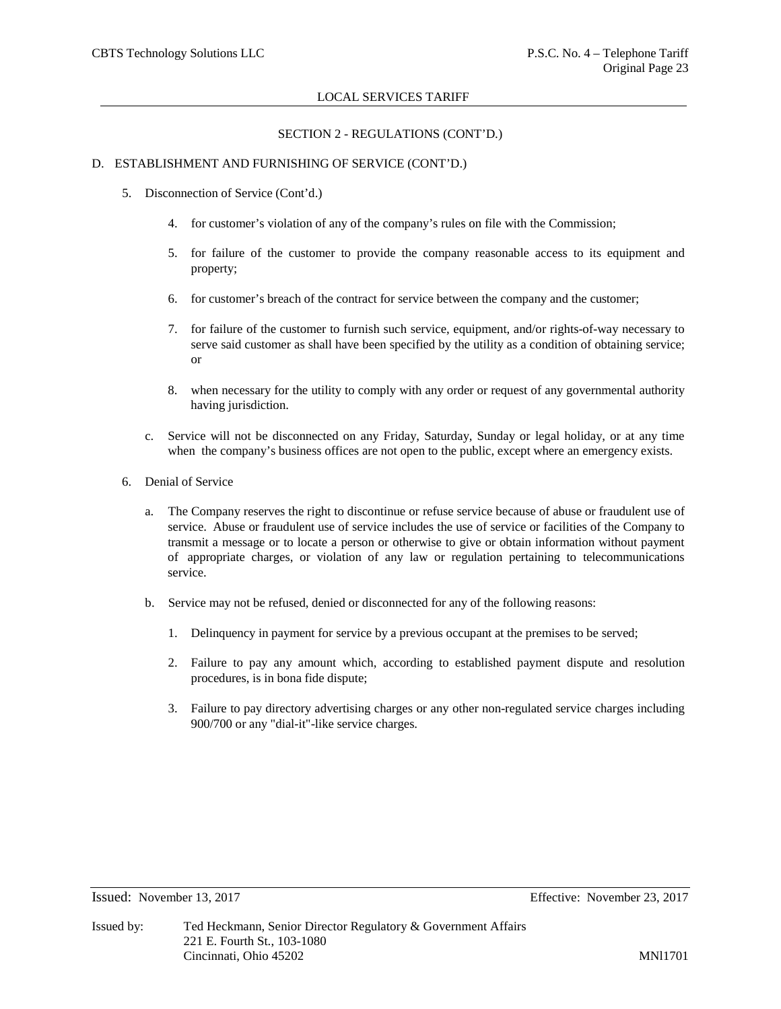### SECTION 2 - REGULATIONS (CONT'D.)

### D. ESTABLISHMENT AND FURNISHING OF SERVICE (CONT'D.)

- 5. Disconnection of Service (Cont'd.)
	- 4. for customer's violation of any of the company's rules on file with the Commission;
	- 5. for failure of the customer to provide the company reasonable access to its equipment and property;
	- 6. for customer's breach of the contract for service between the company and the customer;
	- 7. for failure of the customer to furnish such service, equipment, and/or rights-of-way necessary to serve said customer as shall have been specified by the utility as a condition of obtaining service; or
	- 8. when necessary for the utility to comply with any order or request of any governmental authority having jurisdiction.
	- c. Service will not be disconnected on any Friday, Saturday, Sunday or legal holiday, or at any time when the company's business offices are not open to the public, except where an emergency exists.
- 6. Denial of Service
	- a. The Company reserves the right to discontinue or refuse service because of abuse or fraudulent use of service. Abuse or fraudulent use of service includes the use of service or facilities of the Company to transmit a message or to locate a person or otherwise to give or obtain information without payment of appropriate charges, or violation of any law or regulation pertaining to telecommunications service.
	- b. Service may not be refused, denied or disconnected for any of the following reasons:
		- 1. Delinquency in payment for service by a previous occupant at the premises to be served;
		- 2. Failure to pay any amount which, according to established payment dispute and resolution procedures, is in bona fide dispute;
		- 3. Failure to pay directory advertising charges or any other non-regulated service charges including 900/700 or any "dial-it"-like service charges.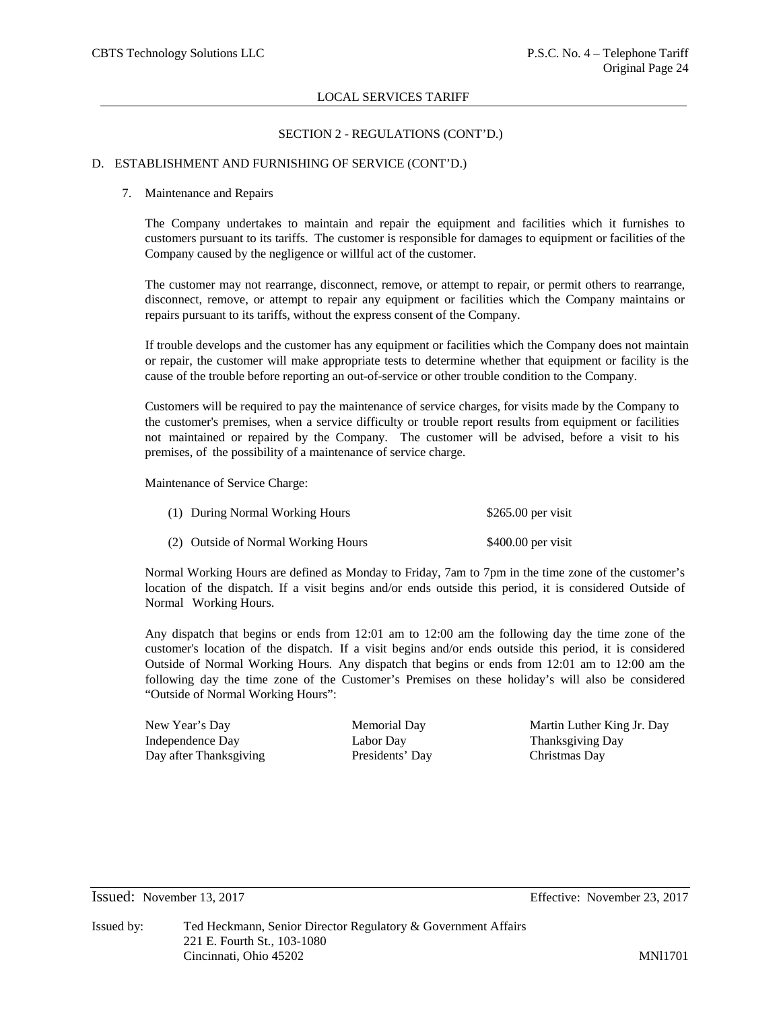# SECTION 2 - REGULATIONS (CONT'D.)

### D. ESTABLISHMENT AND FURNISHING OF SERVICE (CONT'D.)

### 7. Maintenance and Repairs

The Company undertakes to maintain and repair the equipment and facilities which it furnishes to customers pursuant to its tariffs. The customer is responsible for damages to equipment or facilities of the Company caused by the negligence or willful act of the customer.

The customer may not rearrange, disconnect, remove, or attempt to repair, or permit others to rearrange, disconnect, remove, or attempt to repair any equipment or facilities which the Company maintains or repairs pursuant to its tariffs, without the express consent of the Company.

If trouble develops and the customer has any equipment or facilities which the Company does not maintain or repair, the customer will make appropriate tests to determine whether that equipment or facility is the cause of the trouble before reporting an out-of-service or other trouble condition to the Company.

Customers will be required to pay the maintenance of service charges, for visits made by the Company to the customer's premises, when a service difficulty or trouble report results from equipment or facilities not maintained or repaired by the Company. The customer will be advised, before a visit to his premises, of the possibility of a maintenance of service charge.

Maintenance of Service Charge:

| (1) During Normal Working Hours     | $$265.00$ per visit |
|-------------------------------------|---------------------|
| (2) Outside of Normal Working Hours | $$400.00$ per visit |

Normal Working Hours are defined as Monday to Friday, 7am to 7pm in the time zone of the customer's location of the dispatch. If a visit begins and/or ends outside this period, it is considered Outside of Normal Working Hours.

Any dispatch that begins or ends from 12:01 am to 12:00 am the following day the time zone of the customer's location of the dispatch. If a visit begins and/or ends outside this period, it is considered Outside of Normal Working Hours. Any dispatch that begins or ends from 12:01 am to 12:00 am the following day the time zone of the Customer's Premises on these holiday's will also be considered "Outside of Normal Working Hours":

Independence Day Labor Day Labor Day Thanksgiving Day Day after Thanksgiving Presidents' Day Christmas Day

New Year's Day Memorial Day Martin Luther King Jr. Day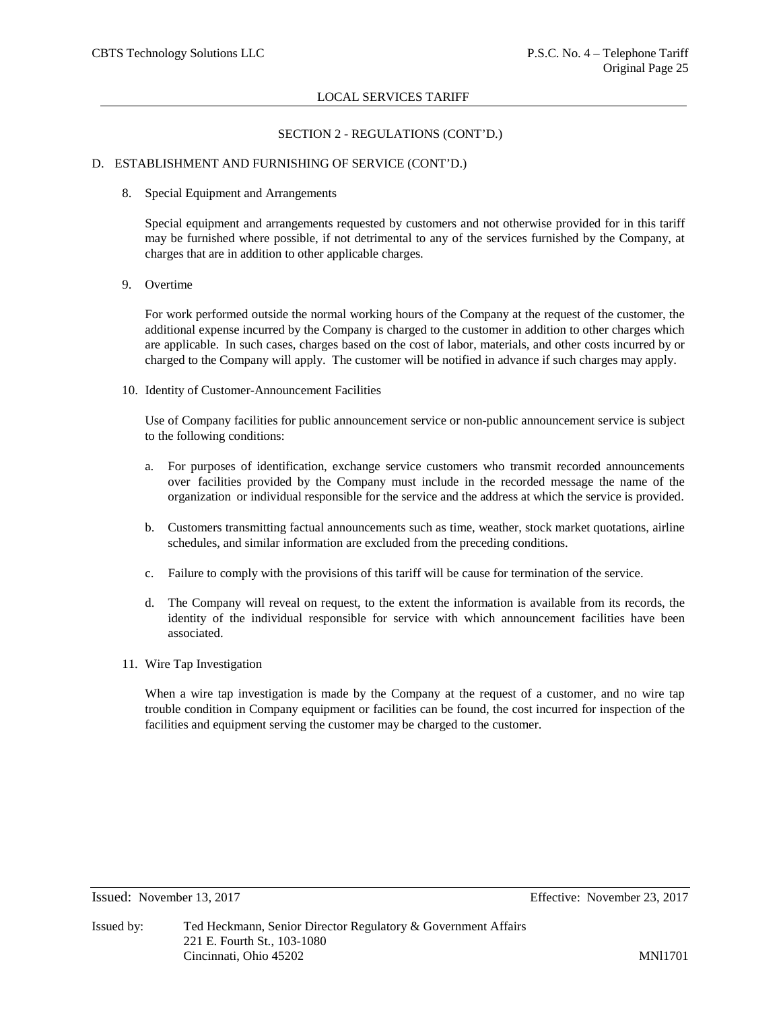# SECTION 2 - REGULATIONS (CONT'D.)

### D. ESTABLISHMENT AND FURNISHING OF SERVICE (CONT'D.)

8. Special Equipment and Arrangements

Special equipment and arrangements requested by customers and not otherwise provided for in this tariff may be furnished where possible, if not detrimental to any of the services furnished by the Company, at charges that are in addition to other applicable charges.

9. Overtime

For work performed outside the normal working hours of the Company at the request of the customer, the additional expense incurred by the Company is charged to the customer in addition to other charges which are applicable. In such cases, charges based on the cost of labor, materials, and other costs incurred by or charged to the Company will apply. The customer will be notified in advance if such charges may apply.

10. Identity of Customer-Announcement Facilities

Use of Company facilities for public announcement service or non-public announcement service is subject to the following conditions:

- a. For purposes of identification, exchange service customers who transmit recorded announcements over facilities provided by the Company must include in the recorded message the name of the organization or individual responsible for the service and the address at which the service is provided.
- b. Customers transmitting factual announcements such as time, weather, stock market quotations, airline schedules, and similar information are excluded from the preceding conditions.
- c. Failure to comply with the provisions of this tariff will be cause for termination of the service.
- d. The Company will reveal on request, to the extent the information is available from its records, the identity of the individual responsible for service with which announcement facilities have been associated.
- 11. Wire Tap Investigation

When a wire tap investigation is made by the Company at the request of a customer, and no wire tap trouble condition in Company equipment or facilities can be found, the cost incurred for inspection of the facilities and equipment serving the customer may be charged to the customer.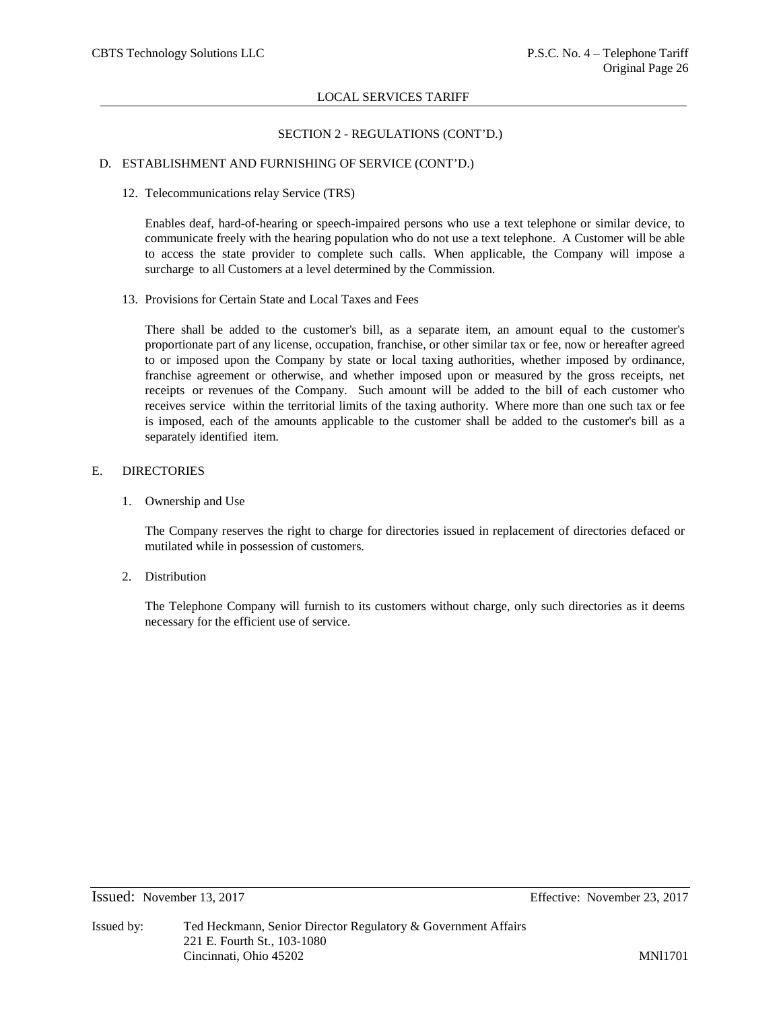# SECTION 2 - REGULATIONS (CONT'D.)

# D. ESTABLISHMENT AND FURNISHING OF SERVICE (CONT'D.)

12. Telecommunications relay Service (TRS)

Enables deaf, hard-of-hearing or speech-impaired persons who use a text telephone or similar device, to communicate freely with the hearing population who do not use a text telephone. A Customer will be able to access the state provider to complete such calls. When applicable, the Company will impose a surcharge to all Customers at a level determined by the Commission.

13. Provisions for Certain State and Local Taxes and Fees

There shall be added to the customer's bill, as a separate item, an amount equal to the customer's proportionate part of any license, occupation, franchise, or other similar tax or fee, now or hereafter agreed to or imposed upon the Company by state or local taxing authorities, whether imposed by ordinance, franchise agreement or otherwise, and whether imposed upon or measured by the gross receipts, net receipts or revenues of the Company. Such amount will be added to the bill of each customer who receives service within the territorial limits of the taxing authority. Where more than one such tax or fee is imposed, each of the amounts applicable to the customer shall be added to the customer's bill as a separately identified item.

# E. DIRECTORIES

1. Ownership and Use

The Company reserves the right to charge for directories issued in replacement of directories defaced or mutilated while in possession of customers.

2. Distribution

The Telephone Company will furnish to its customers without charge, only such directories as it deems necessary for the efficient use of service.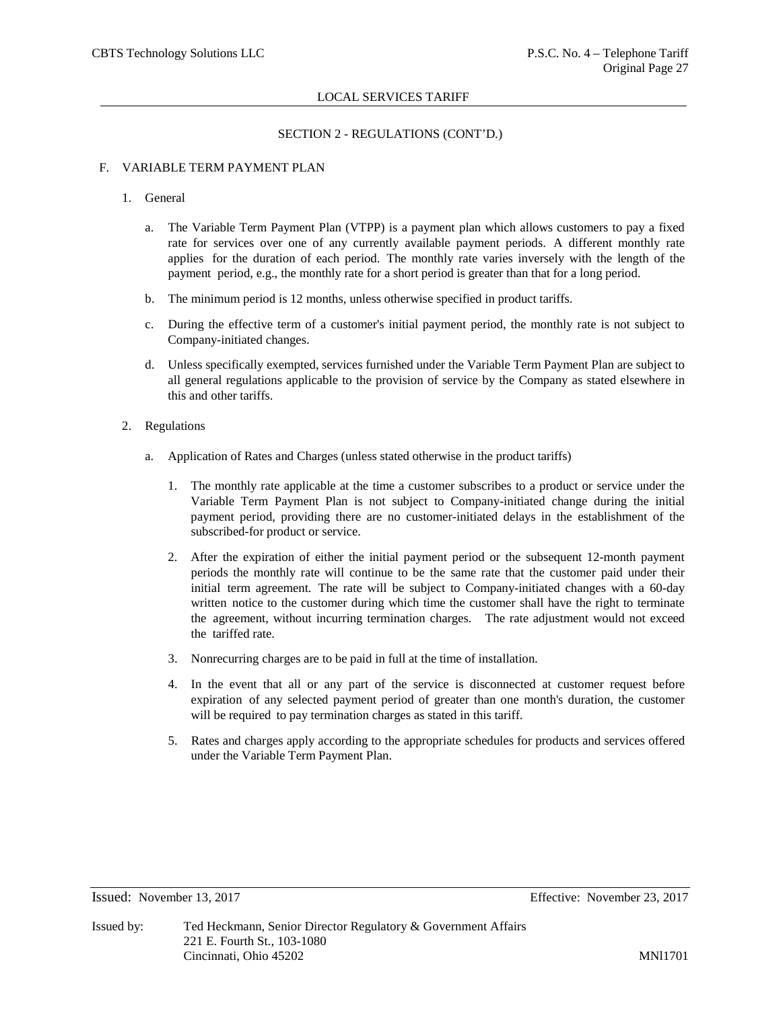# SECTION 2 - REGULATIONS (CONT'D.)

# F. VARIABLE TERM PAYMENT PLAN

### 1. General

- a. The Variable Term Payment Plan (VTPP) is a payment plan which allows customers to pay a fixed rate for services over one of any currently available payment periods. A different monthly rate applies for the duration of each period. The monthly rate varies inversely with the length of the payment period, e.g., the monthly rate for a short period is greater than that for a long period.
- b. The minimum period is 12 months, unless otherwise specified in product tariffs.
- c. During the effective term of a customer's initial payment period, the monthly rate is not subject to Company-initiated changes.
- d. Unless specifically exempted, services furnished under the Variable Term Payment Plan are subject to all general regulations applicable to the provision of service by the Company as stated elsewhere in this and other tariffs.
- 2. Regulations
	- a. Application of Rates and Charges (unless stated otherwise in the product tariffs)
		- 1. The monthly rate applicable at the time a customer subscribes to a product or service under the Variable Term Payment Plan is not subject to Company-initiated change during the initial payment period, providing there are no customer-initiated delays in the establishment of the subscribed-for product or service.
		- 2. After the expiration of either the initial payment period or the subsequent 12-month payment periods the monthly rate will continue to be the same rate that the customer paid under their initial term agreement. The rate will be subject to Company-initiated changes with a 60-day written notice to the customer during which time the customer shall have the right to terminate the agreement, without incurring termination charges. The rate adjustment would not exceed the tariffed rate.
		- 3. Nonrecurring charges are to be paid in full at the time of installation.
		- 4. In the event that all or any part of the service is disconnected at customer request before expiration of any selected payment period of greater than one month's duration, the customer will be required to pay termination charges as stated in this tariff.
		- 5. Rates and charges apply according to the appropriate schedules for products and services offered under the Variable Term Payment Plan.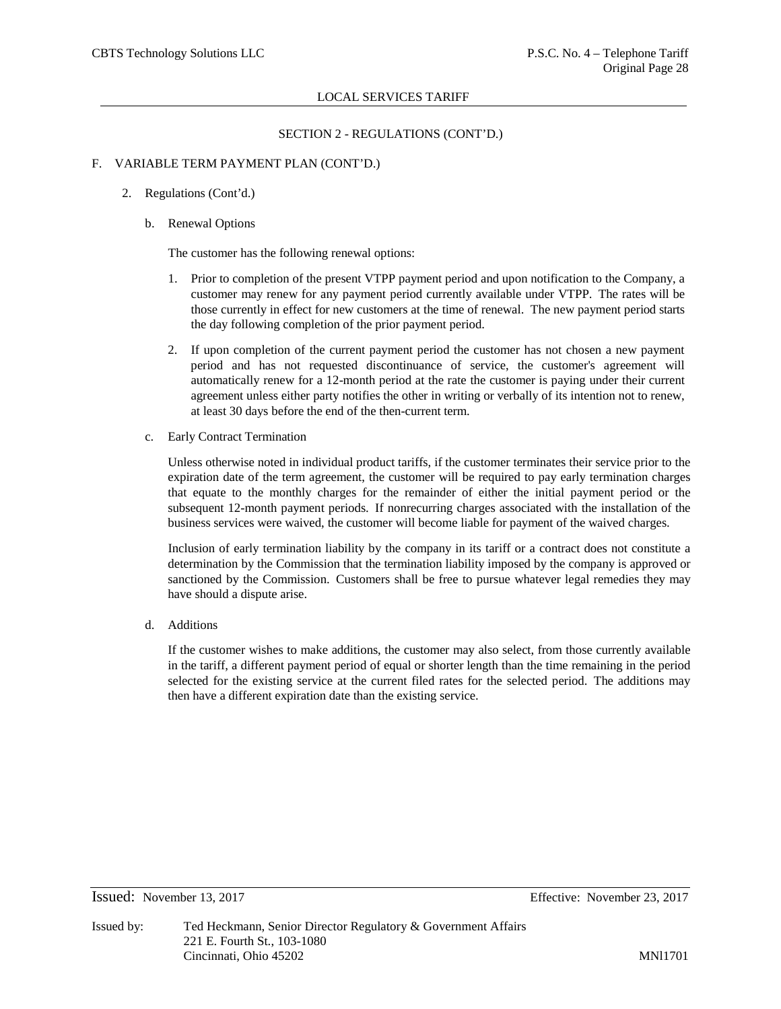# SECTION 2 - REGULATIONS (CONT'D.)

### F. VARIABLE TERM PAYMENT PLAN (CONT'D.)

- 2. Regulations (Cont'd.)
	- b. Renewal Options

The customer has the following renewal options:

- 1. Prior to completion of the present VTPP payment period and upon notification to the Company, a customer may renew for any payment period currently available under VTPP. The rates will be those currently in effect for new customers at the time of renewal. The new payment period starts the day following completion of the prior payment period.
- 2. If upon completion of the current payment period the customer has not chosen a new payment period and has not requested discontinuance of service, the customer's agreement will automatically renew for a 12-month period at the rate the customer is paying under their current agreement unless either party notifies the other in writing or verbally of its intention not to renew, at least 30 days before the end of the then-current term.
- c. Early Contract Termination

Unless otherwise noted in individual product tariffs, if the customer terminates their service prior to the expiration date of the term agreement, the customer will be required to pay early termination charges that equate to the monthly charges for the remainder of either the initial payment period or the subsequent 12-month payment periods. If nonrecurring charges associated with the installation of the business services were waived, the customer will become liable for payment of the waived charges.

Inclusion of early termination liability by the company in its tariff or a contract does not constitute a determination by the Commission that the termination liability imposed by the company is approved or sanctioned by the Commission. Customers shall be free to pursue whatever legal remedies they may have should a dispute arise.

d. Additions

If the customer wishes to make additions, the customer may also select, from those currently available in the tariff, a different payment period of equal or shorter length than the time remaining in the period selected for the existing service at the current filed rates for the selected period. The additions may then have a different expiration date than the existing service.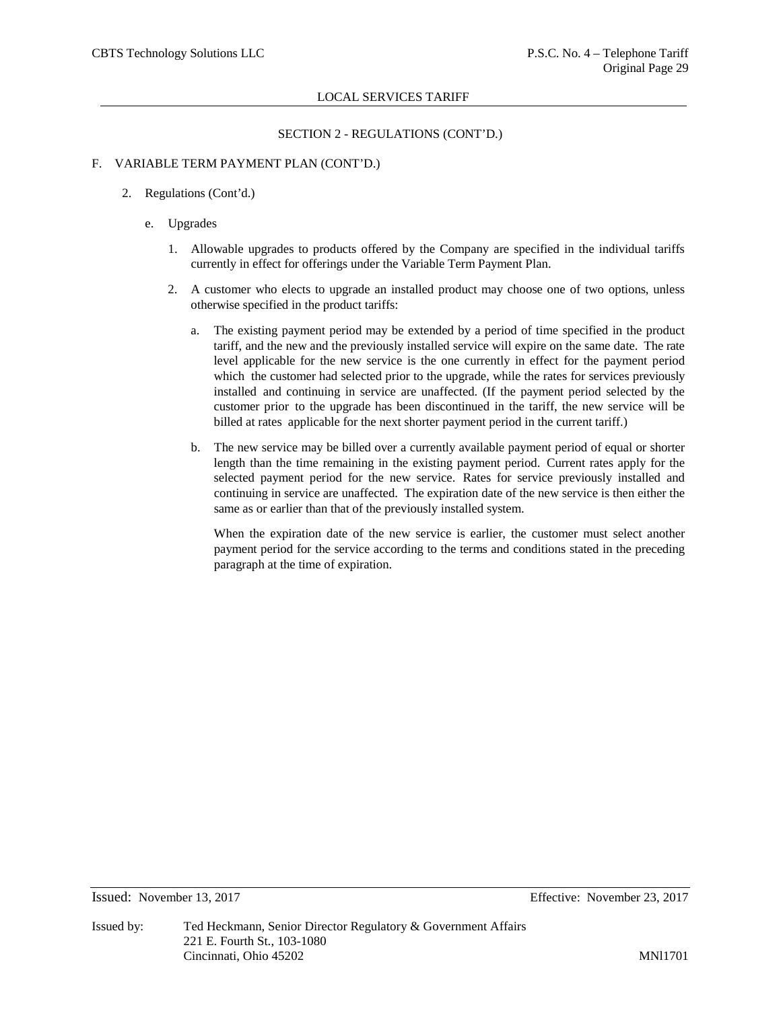# SECTION 2 - REGULATIONS (CONT'D.)

# F. VARIABLE TERM PAYMENT PLAN (CONT'D.)

- 2. Regulations (Cont'd.)
	- e. Upgrades
		- 1. Allowable upgrades to products offered by the Company are specified in the individual tariffs currently in effect for offerings under the Variable Term Payment Plan.
		- 2. A customer who elects to upgrade an installed product may choose one of two options, unless otherwise specified in the product tariffs:
			- a. The existing payment period may be extended by a period of time specified in the product tariff, and the new and the previously installed service will expire on the same date. The rate level applicable for the new service is the one currently in effect for the payment period which the customer had selected prior to the upgrade, while the rates for services previously installed and continuing in service are unaffected. (If the payment period selected by the customer prior to the upgrade has been discontinued in the tariff, the new service will be billed at rates applicable for the next shorter payment period in the current tariff.)
			- b. The new service may be billed over a currently available payment period of equal or shorter length than the time remaining in the existing payment period. Current rates apply for the selected payment period for the new service. Rates for service previously installed and continuing in service are unaffected. The expiration date of the new service is then either the same as or earlier than that of the previously installed system.

When the expiration date of the new service is earlier, the customer must select another payment period for the service according to the terms and conditions stated in the preceding paragraph at the time of expiration.

### Issued: November 13, 2017 Effective: November 23, 2017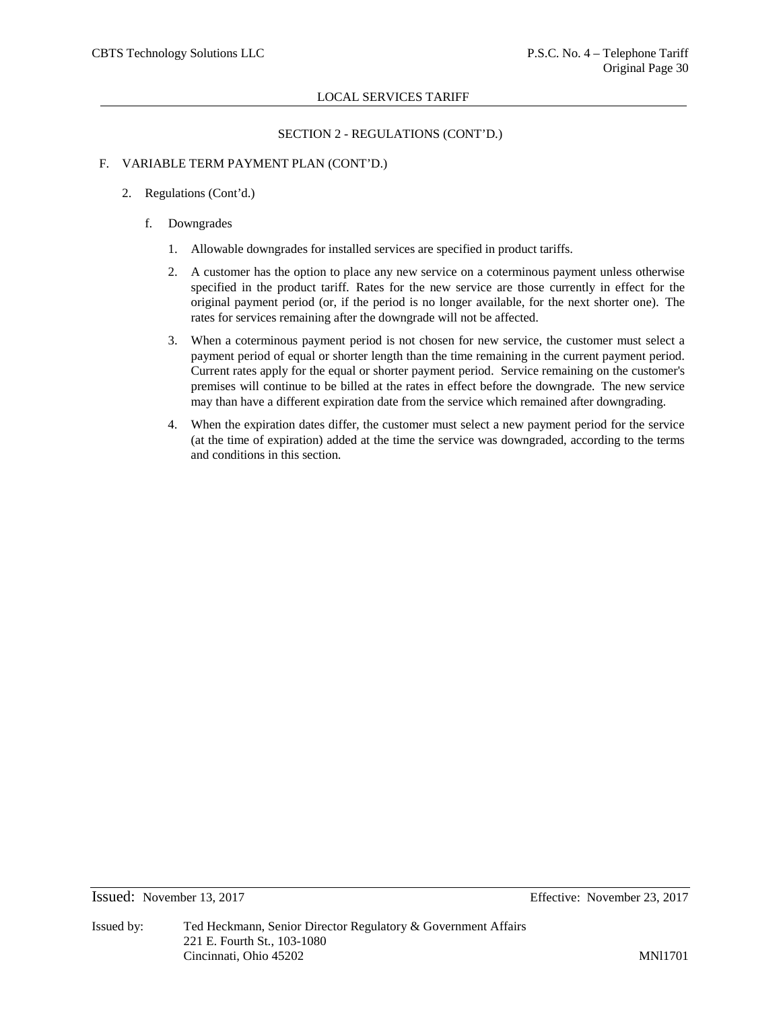# SECTION 2 - REGULATIONS (CONT'D.)

# F. VARIABLE TERM PAYMENT PLAN (CONT'D.)

- 2. Regulations (Cont'd.)
	- f. Downgrades
		- 1. Allowable downgrades for installed services are specified in product tariffs.
		- 2. A customer has the option to place any new service on a coterminous payment unless otherwise specified in the product tariff. Rates for the new service are those currently in effect for the original payment period (or, if the period is no longer available, for the next shorter one). The rates for services remaining after the downgrade will not be affected.
		- 3. When a coterminous payment period is not chosen for new service, the customer must select a payment period of equal or shorter length than the time remaining in the current payment period. Current rates apply for the equal or shorter payment period. Service remaining on the customer's premises will continue to be billed at the rates in effect before the downgrade. The new service may than have a different expiration date from the service which remained after downgrading.
		- 4. When the expiration dates differ, the customer must select a new payment period for the service (at the time of expiration) added at the time the service was downgraded, according to the terms and conditions in this section.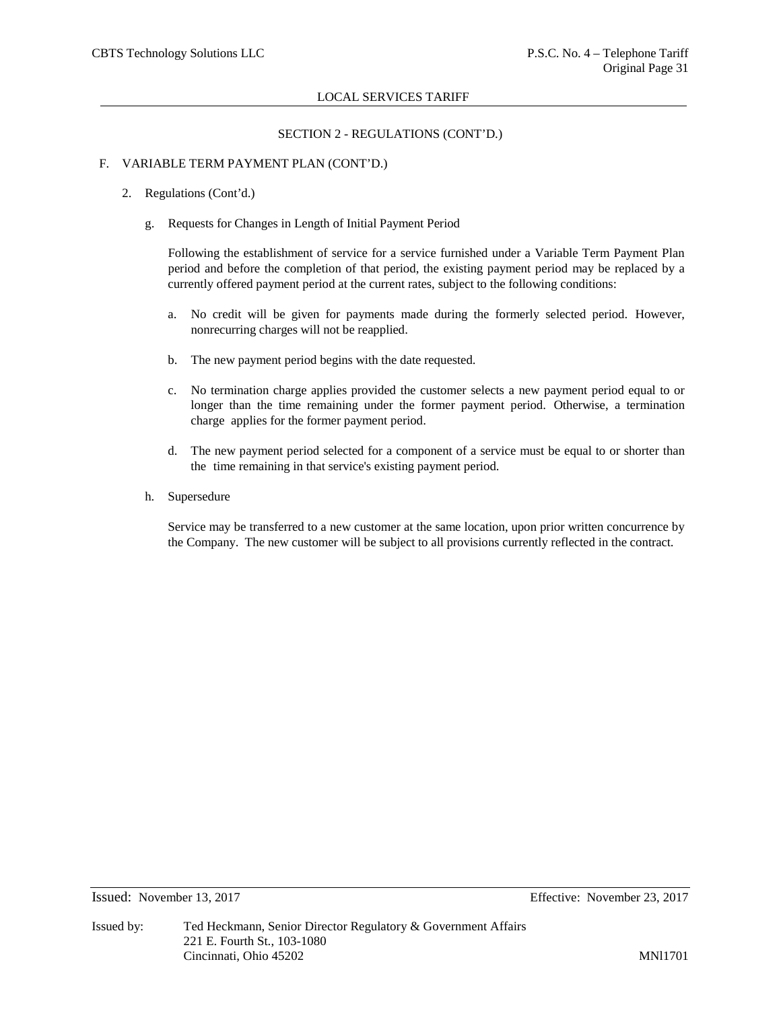# SECTION 2 - REGULATIONS (CONT'D.)

# F. VARIABLE TERM PAYMENT PLAN (CONT'D.)

- 2. Regulations (Cont'd.)
	- g. Requests for Changes in Length of Initial Payment Period

Following the establishment of service for a service furnished under a Variable Term Payment Plan period and before the completion of that period, the existing payment period may be replaced by a currently offered payment period at the current rates, subject to the following conditions:

- a. No credit will be given for payments made during the formerly selected period. However, nonrecurring charges will not be reapplied.
- b. The new payment period begins with the date requested.
- c. No termination charge applies provided the customer selects a new payment period equal to or longer than the time remaining under the former payment period. Otherwise, a termination charge applies for the former payment period.
- d. The new payment period selected for a component of a service must be equal to or shorter than the time remaining in that service's existing payment period.
- h. Supersedure

Service may be transferred to a new customer at the same location, upon prior written concurrence by the Company. The new customer will be subject to all provisions currently reflected in the contract.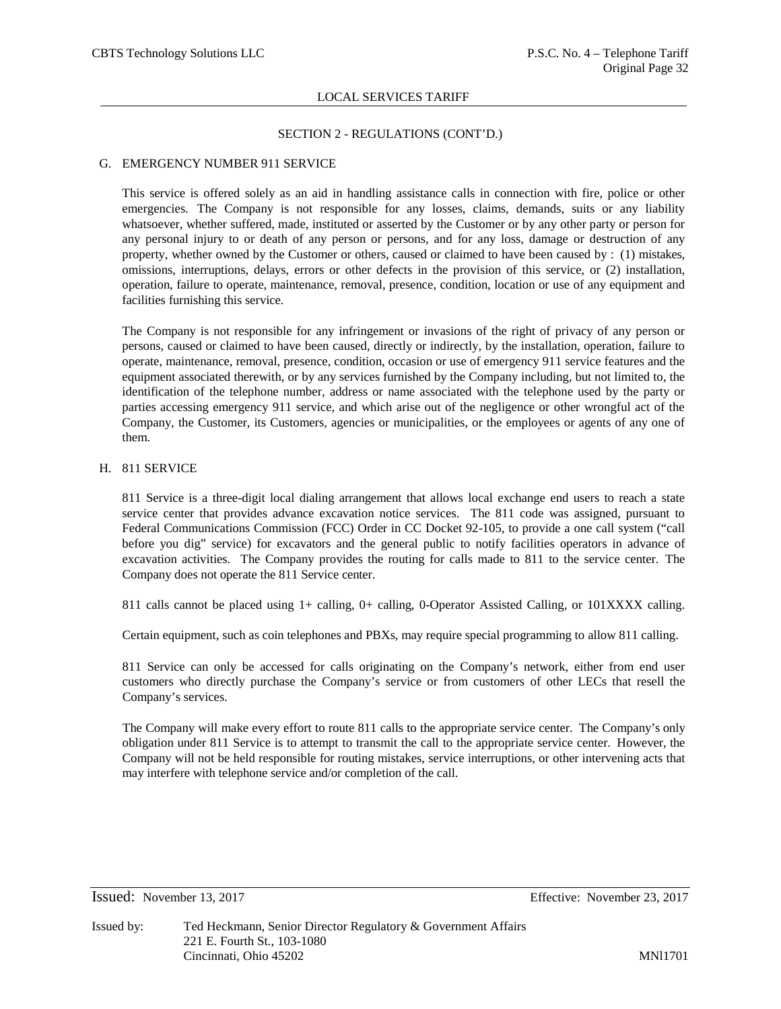### SECTION 2 - REGULATIONS (CONT'D.)

### G. EMERGENCY NUMBER 911 SERVICE

This service is offered solely as an aid in handling assistance calls in connection with fire, police or other emergencies. The Company is not responsible for any losses, claims, demands, suits or any liability whatsoever, whether suffered, made, instituted or asserted by the Customer or by any other party or person for any personal injury to or death of any person or persons, and for any loss, damage or destruction of any property, whether owned by the Customer or others, caused or claimed to have been caused by : (1) mistakes, omissions, interruptions, delays, errors or other defects in the provision of this service, or (2) installation, operation, failure to operate, maintenance, removal, presence, condition, location or use of any equipment and facilities furnishing this service.

The Company is not responsible for any infringement or invasions of the right of privacy of any person or persons, caused or claimed to have been caused, directly or indirectly, by the installation, operation, failure to operate, maintenance, removal, presence, condition, occasion or use of emergency 911 service features and the equipment associated therewith, or by any services furnished by the Company including, but not limited to, the identification of the telephone number, address or name associated with the telephone used by the party or parties accessing emergency 911 service, and which arise out of the negligence or other wrongful act of the Company, the Customer, its Customers, agencies or municipalities, or the employees or agents of any one of them.

### H. 811 SERVICE

811 Service is a three-digit local dialing arrangement that allows local exchange end users to reach a state service center that provides advance excavation notice services. The 811 code was assigned, pursuant to Federal Communications Commission (FCC) Order in CC Docket 92-105, to provide a one call system ("call before you dig" service) for excavators and the general public to notify facilities operators in advance of excavation activities. The Company provides the routing for calls made to 811 to the service center. The Company does not operate the 811 Service center.

811 calls cannot be placed using 1+ calling, 0+ calling, 0-Operator Assisted Calling, or 101XXXX calling.

Certain equipment, such as coin telephones and PBXs, may require special programming to allow 811 calling.

811 Service can only be accessed for calls originating on the Company's network, either from end user customers who directly purchase the Company's service or from customers of other LECs that resell the Company's services.

The Company will make every effort to route 811 calls to the appropriate service center. The Company's only obligation under 811 Service is to attempt to transmit the call to the appropriate service center. However, the Company will not be held responsible for routing mistakes, service interruptions, or other intervening acts that may interfere with telephone service and/or completion of the call.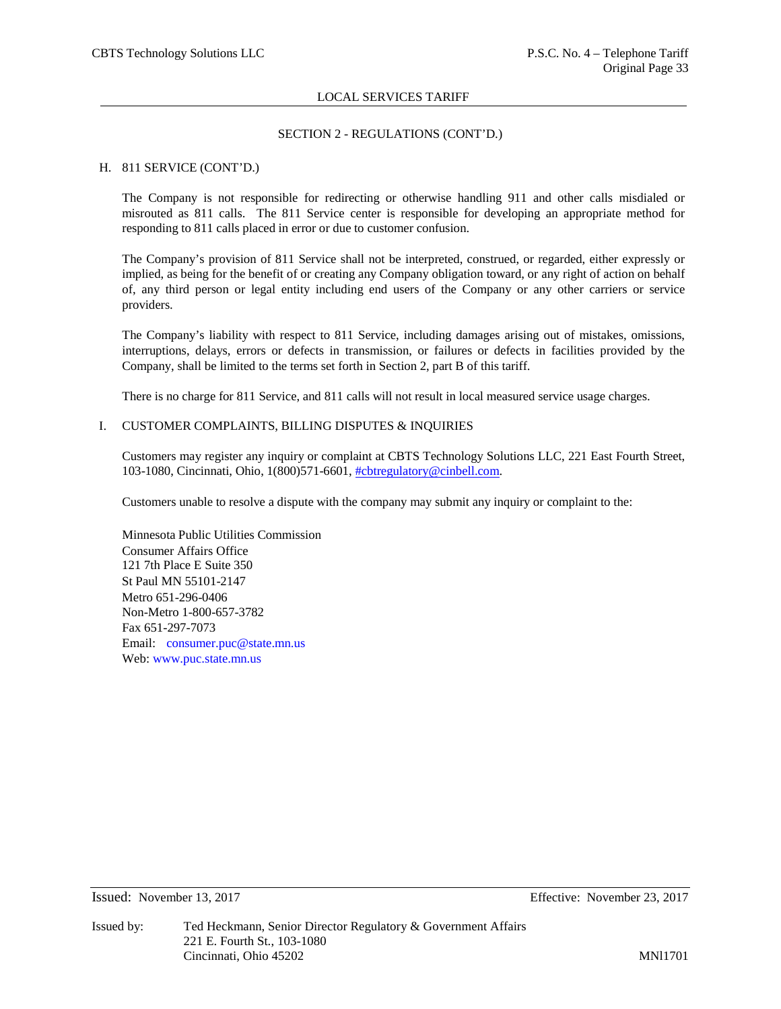### SECTION 2 - REGULATIONS (CONT'D.)

### H. 811 SERVICE (CONT'D.)

The Company is not responsible for redirecting or otherwise handling 911 and other calls misdialed or misrouted as 811 calls. The 811 Service center is responsible for developing an appropriate method for responding to 811 calls placed in error or due to customer confusion.

The Company's provision of 811 Service shall not be interpreted, construed, or regarded, either expressly or implied, as being for the benefit of or creating any Company obligation toward, or any right of action on behalf of, any third person or legal entity including end users of the Company or any other carriers or service providers.

The Company's liability with respect to 811 Service, including damages arising out of mistakes, omissions, interruptions, delays, errors or defects in transmission, or failures or defects in facilities provided by the Company, shall be limited to the terms set forth in Section 2, part B of this tariff.

There is no charge for 811 Service, and 811 calls will not result in local measured service usage charges.

# I. CUSTOMER COMPLAINTS, BILLING DISPUTES & INQUIRIES

Customers may register any inquiry or complaint at CBTS Technology Solutions LLC, 221 East Fourth Street, 103-1080, Cincinnati, Ohio, 1(800)571-6601, [#cbtregulatory@cinbell.com.](mailto:%23cbtregulatory@cinbell.com)

Customers unable to resolve a dispute with the company may submit any inquiry or complaint to the:

Minnesota Public Utilities Commission Consumer Affairs Office 121 7th Place E Suite 350 St Paul MN 55101-2147 Metro 651-296-0406 Non-Metro 1-800-657-3782 Fax 651-297-7073 Email: [consumer.puc@state.mn.us](mailto:consumer.puc@state.mn.us) Web: [www.puc.state.mn.us](http://www.puc.state.mn.us/)

Issued: November 13, 2017 Effective: November 23, 2017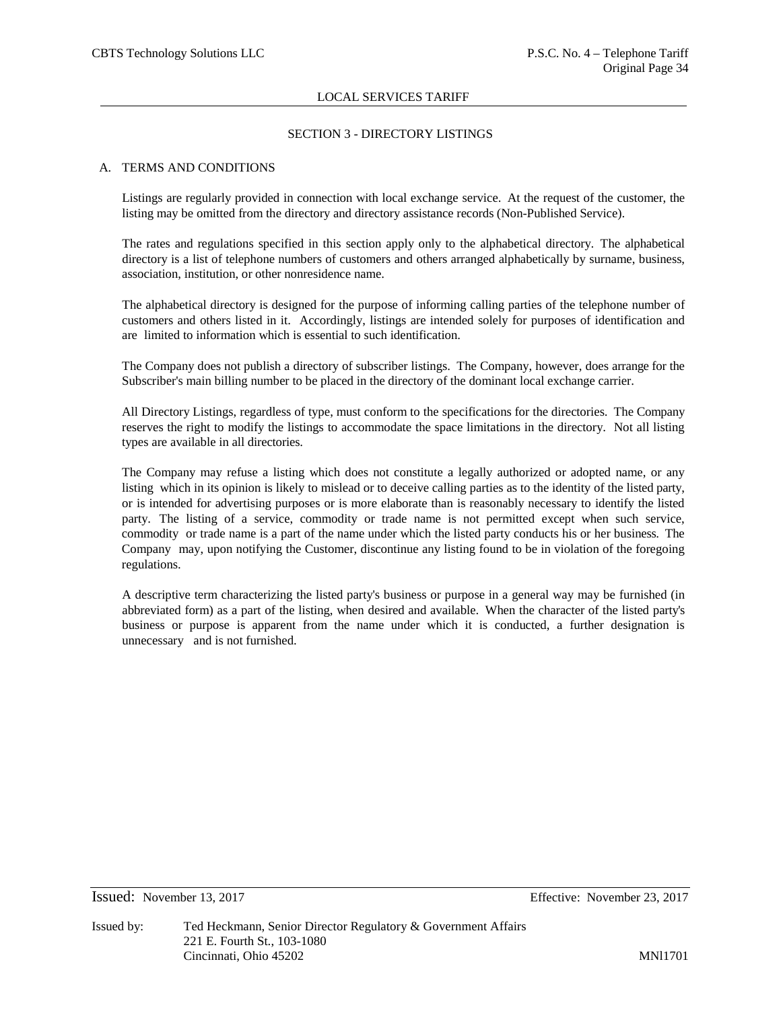### SECTION 3 - DIRECTORY LISTINGS

### A. TERMS AND CONDITIONS

Listings are regularly provided in connection with local exchange service. At the request of the customer, the listing may be omitted from the directory and directory assistance records (Non-Published Service).

The rates and regulations specified in this section apply only to the alphabetical directory. The alphabetical directory is a list of telephone numbers of customers and others arranged alphabetically by surname, business, association, institution, or other nonresidence name.

The alphabetical directory is designed for the purpose of informing calling parties of the telephone number of customers and others listed in it. Accordingly, listings are intended solely for purposes of identification and are limited to information which is essential to such identification.

The Company does not publish a directory of subscriber listings. The Company, however, does arrange for the Subscriber's main billing number to be placed in the directory of the dominant local exchange carrier.

All Directory Listings, regardless of type, must conform to the specifications for the directories. The Company reserves the right to modify the listings to accommodate the space limitations in the directory. Not all listing types are available in all directories.

The Company may refuse a listing which does not constitute a legally authorized or adopted name, or any listing which in its opinion is likely to mislead or to deceive calling parties as to the identity of the listed party, or is intended for advertising purposes or is more elaborate than is reasonably necessary to identify the listed party. The listing of a service, commodity or trade name is not permitted except when such service, commodity or trade name is a part of the name under which the listed party conducts his or her business. The Company may, upon notifying the Customer, discontinue any listing found to be in violation of the foregoing regulations.

A descriptive term characterizing the listed party's business or purpose in a general way may be furnished (in abbreviated form) as a part of the listing, when desired and available. When the character of the listed party's business or purpose is apparent from the name under which it is conducted, a further designation is unnecessary and is not furnished.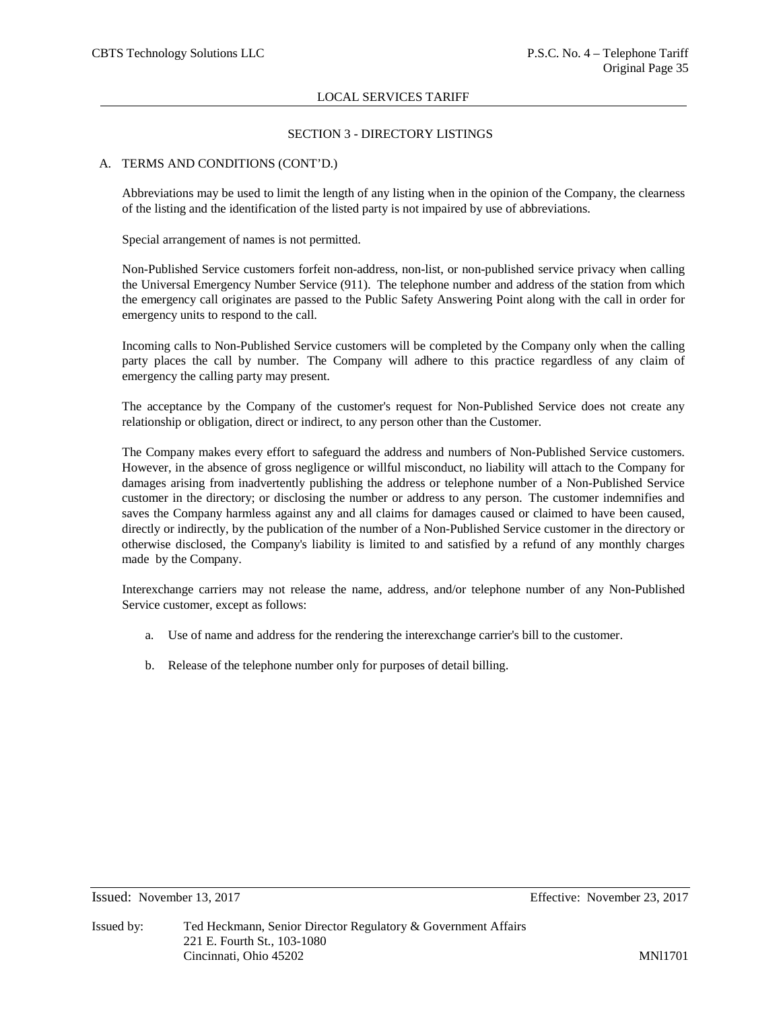### SECTION 3 - DIRECTORY LISTINGS

### A. TERMS AND CONDITIONS (CONT'D.)

Abbreviations may be used to limit the length of any listing when in the opinion of the Company, the clearness of the listing and the identification of the listed party is not impaired by use of abbreviations.

Special arrangement of names is not permitted.

Non-Published Service customers forfeit non-address, non-list, or non-published service privacy when calling the Universal Emergency Number Service (911). The telephone number and address of the station from which the emergency call originates are passed to the Public Safety Answering Point along with the call in order for emergency units to respond to the call.

Incoming calls to Non-Published Service customers will be completed by the Company only when the calling party places the call by number. The Company will adhere to this practice regardless of any claim of emergency the calling party may present.

The acceptance by the Company of the customer's request for Non-Published Service does not create any relationship or obligation, direct or indirect, to any person other than the Customer.

The Company makes every effort to safeguard the address and numbers of Non-Published Service customers. However, in the absence of gross negligence or willful misconduct, no liability will attach to the Company for damages arising from inadvertently publishing the address or telephone number of a Non-Published Service customer in the directory; or disclosing the number or address to any person. The customer indemnifies and saves the Company harmless against any and all claims for damages caused or claimed to have been caused, directly or indirectly, by the publication of the number of a Non-Published Service customer in the directory or otherwise disclosed, the Company's liability is limited to and satisfied by a refund of any monthly charges made by the Company.

Interexchange carriers may not release the name, address, and/or telephone number of any Non-Published Service customer, except as follows:

- a. Use of name and address for the rendering the interexchange carrier's bill to the customer.
- b. Release of the telephone number only for purposes of detail billing.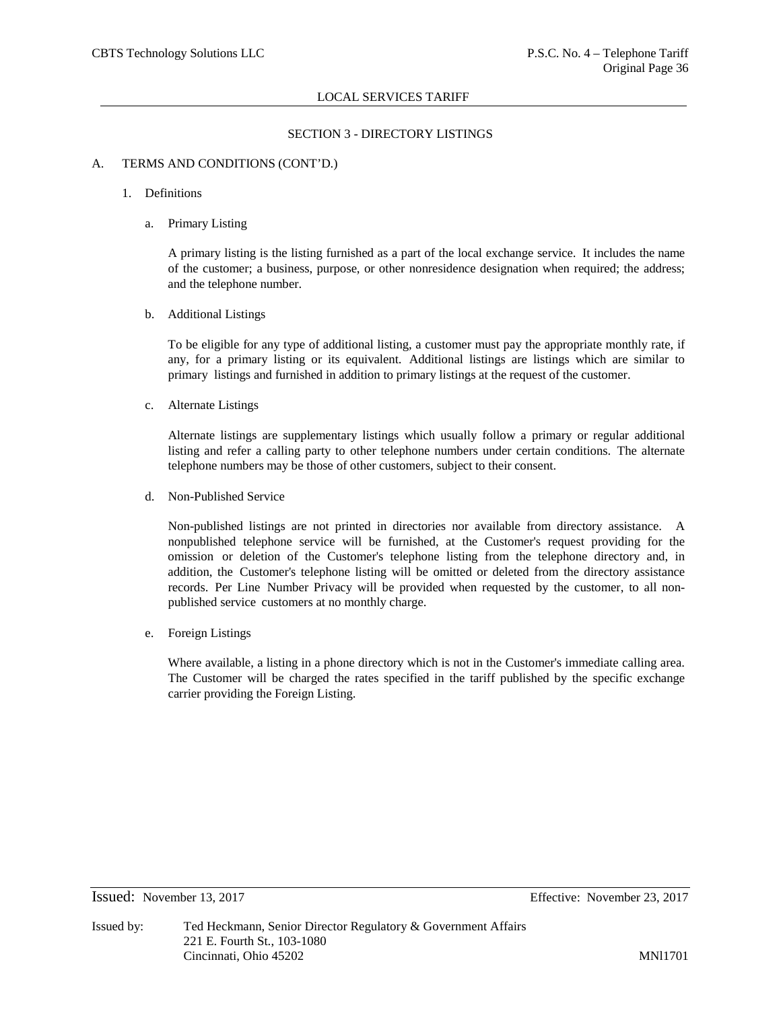### SECTION 3 - DIRECTORY LISTINGS

### A. TERMS AND CONDITIONS (CONT'D.)

### 1. Definitions

a. Primary Listing

A primary listing is the listing furnished as a part of the local exchange service. It includes the name of the customer; a business, purpose, or other nonresidence designation when required; the address; and the telephone number.

### b. Additional Listings

To be eligible for any type of additional listing, a customer must pay the appropriate monthly rate, if any, for a primary listing or its equivalent. Additional listings are listings which are similar to primary listings and furnished in addition to primary listings at the request of the customer.

c. Alternate Listings

Alternate listings are supplementary listings which usually follow a primary or regular additional listing and refer a calling party to other telephone numbers under certain conditions. The alternate telephone numbers may be those of other customers, subject to their consent.

d. Non-Published Service

Non-published listings are not printed in directories nor available from directory assistance. A nonpublished telephone service will be furnished, at the Customer's request providing for the omission or deletion of the Customer's telephone listing from the telephone directory and, in addition, the Customer's telephone listing will be omitted or deleted from the directory assistance records. Per Line Number Privacy will be provided when requested by the customer, to all nonpublished service customers at no monthly charge.

e. Foreign Listings

Where available, a listing in a phone directory which is not in the Customer's immediate calling area. The Customer will be charged the rates specified in the tariff published by the specific exchange carrier providing the Foreign Listing.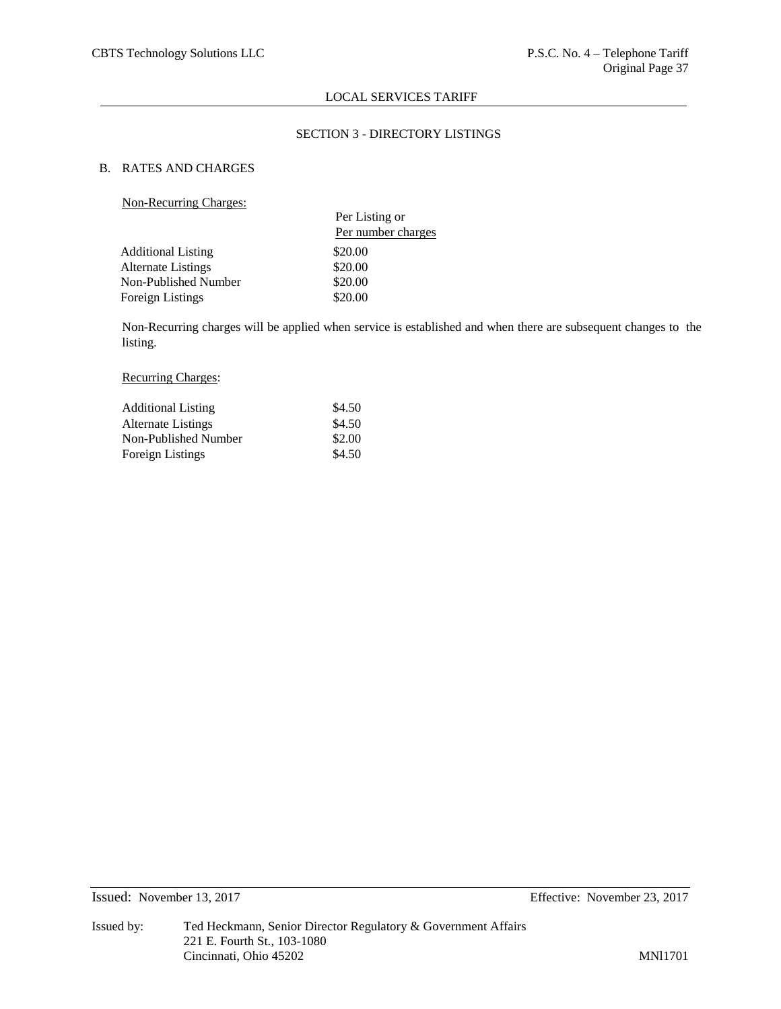# SECTION 3 - DIRECTORY LISTINGS

# B. RATES AND CHARGES

# Non-Recurring Charges:

| $1.011$ $1.000$ $0.11$ $1.000$ $0.000$ $0.000$ |                    |
|------------------------------------------------|--------------------|
|                                                | Per Listing or     |
|                                                | Per number charges |
| <b>Additional Listing</b>                      | \$20.00            |
| <b>Alternate Listings</b>                      | \$20.00            |
| Non-Published Number                           | \$20.00            |
| Foreign Listings                               | \$20.00            |
|                                                |                    |

Non-Recurring charges will be applied when service is established and when there are subsequent changes to the listing.

# Recurring Charges:

| <b>Additional Listing</b> | \$4.50 |
|---------------------------|--------|
| Alternate Listings        | \$4.50 |
| Non-Published Number      | \$2.00 |
| Foreign Listings          | \$4.50 |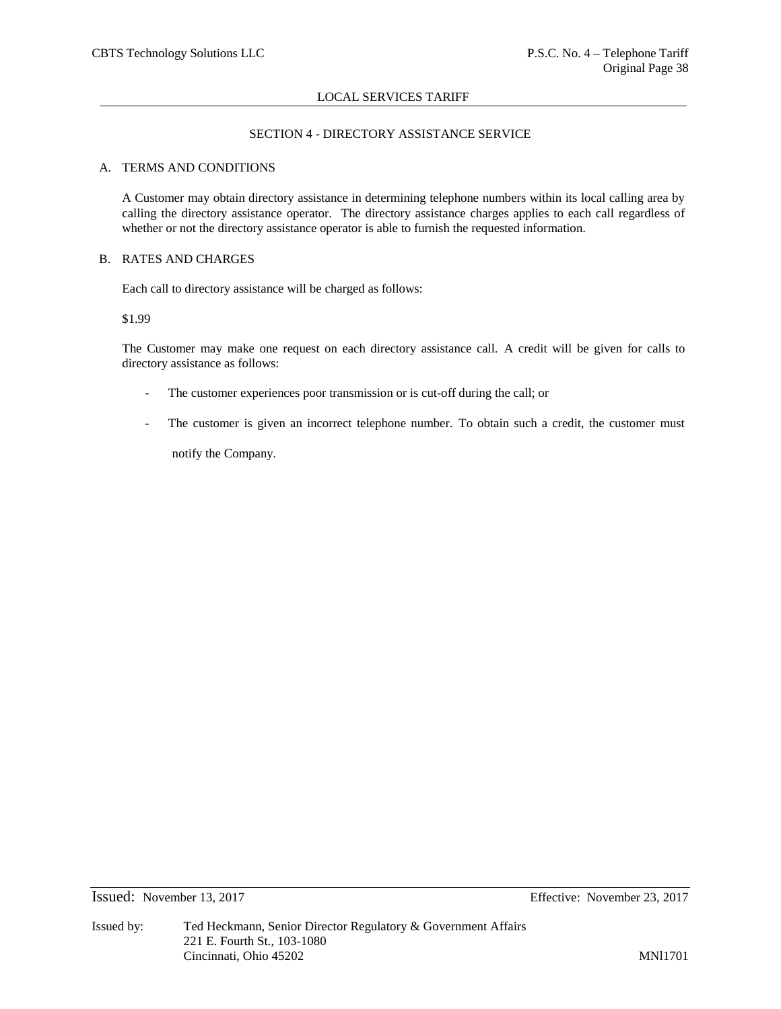# SECTION 4 - DIRECTORY ASSISTANCE SERVICE

### A. TERMS AND CONDITIONS

A Customer may obtain directory assistance in determining telephone numbers within its local calling area by calling the directory assistance operator. The directory assistance charges applies to each call regardless of whether or not the directory assistance operator is able to furnish the requested information.

### B. RATES AND CHARGES

Each call to directory assistance will be charged as follows:

### \$1.99

The Customer may make one request on each directory assistance call. A credit will be given for calls to directory assistance as follows:

- The customer experiences poor transmission or is cut-off during the call; or
- The customer is given an incorrect telephone number. To obtain such a credit, the customer must

notify the Company.

# Issued: November 13, 2017 Effective: November 23, 2017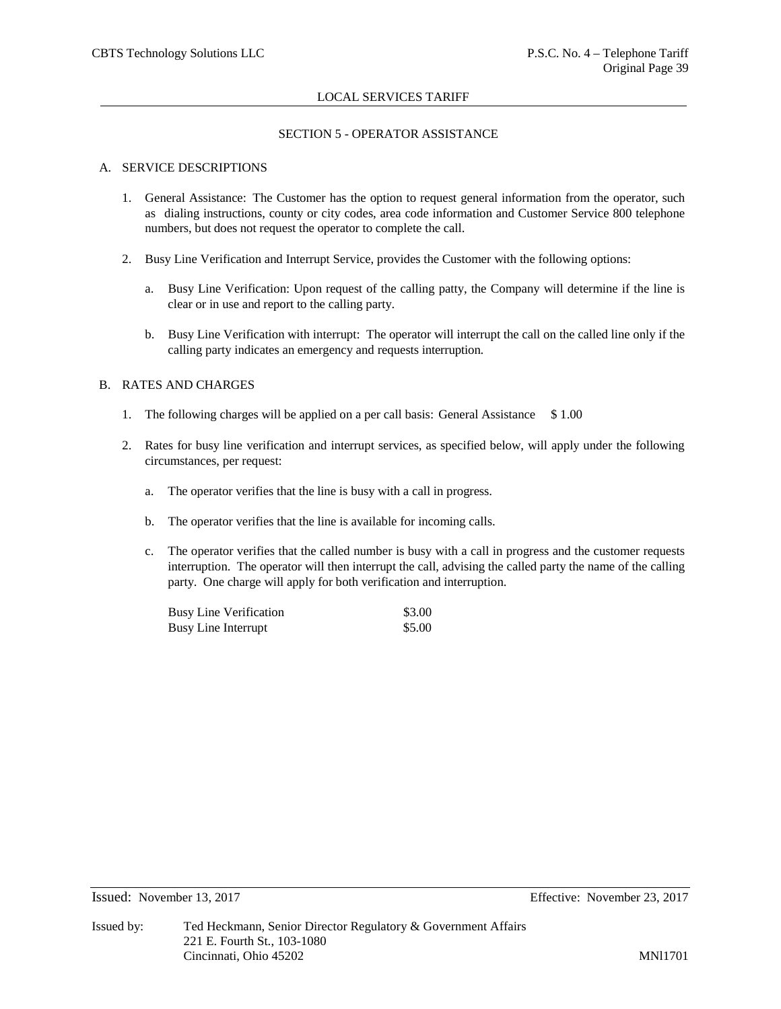### SECTION 5 - OPERATOR ASSISTANCE

# A. SERVICE DESCRIPTIONS

- 1. General Assistance: The Customer has the option to request general information from the operator, such as dialing instructions, county or city codes, area code information and Customer Service 800 telephone numbers, but does not request the operator to complete the call.
- 2. Busy Line Verification and Interrupt Service, provides the Customer with the following options:
	- a. Busy Line Verification: Upon request of the calling patty, the Company will determine if the line is clear or in use and report to the calling party.
	- b. Busy Line Verification with interrupt: The operator will interrupt the call on the called line only if the calling party indicates an emergency and requests interruption.

# B. RATES AND CHARGES

- 1. The following charges will be applied on a per call basis: General Assistance \$1.00
- 2. Rates for busy line verification and interrupt services, as specified below, will apply under the following circumstances, per request:
	- a. The operator verifies that the line is busy with a call in progress.
	- b. The operator verifies that the line is available for incoming calls.
	- c. The operator verifies that the called number is busy with a call in progress and the customer requests interruption. The operator will then interrupt the call, advising the called party the name of the calling party. One charge will apply for both verification and interruption.

| <b>Busy Line Verification</b> | \$3.00 |
|-------------------------------|--------|
| Busy Line Interrupt           | \$5.00 |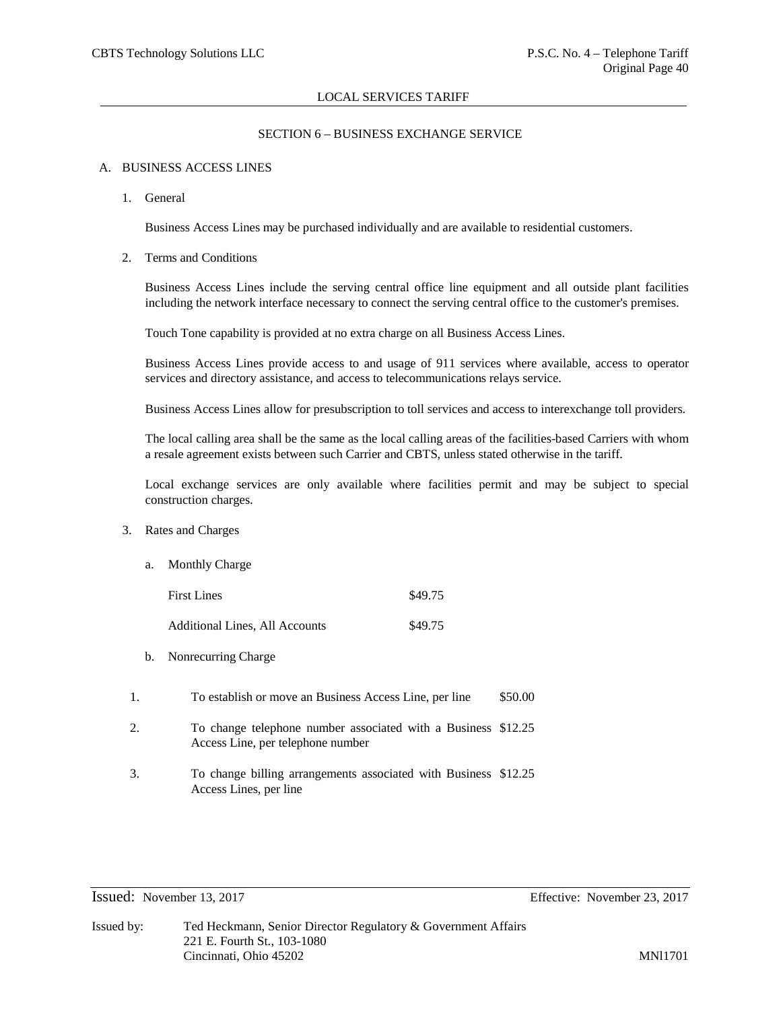# SECTION 6 – BUSINESS EXCHANGE SERVICE

### A. BUSINESS ACCESS LINES

1. General

Business Access Lines may be purchased individually and are available to residential customers.

2. Terms and Conditions

Business Access Lines include the serving central office line equipment and all outside plant facilities including the network interface necessary to connect the serving central office to the customer's premises.

Touch Tone capability is provided at no extra charge on all Business Access Lines.

Business Access Lines provide access to and usage of 911 services where available, access to operator services and directory assistance, and access to telecommunications relays service.

Business Access Lines allow for presubscription to toll services and access to interexchange toll providers.

The local calling area shall be the same as the local calling areas of the facilities-based Carriers with whom a resale agreement exists between such Carrier and CBTS, unless stated otherwise in the tariff.

Local exchange services are only available where facilities permit and may be subject to special construction charges.

- 3. Rates and Charges
	- a. Monthly Charge

First Lines  $\$49.75$ 

Additional Lines, All Accounts \$49.75

- b. Nonrecurring Charge
- 1. To establish or move an Business Access Line, per line \$50.00
- 2. To change telephone number associated with a Business \$12.25 Access Line, per telephone number
- 3. To change billing arrangements associated with Business \$12.25Access Lines, per line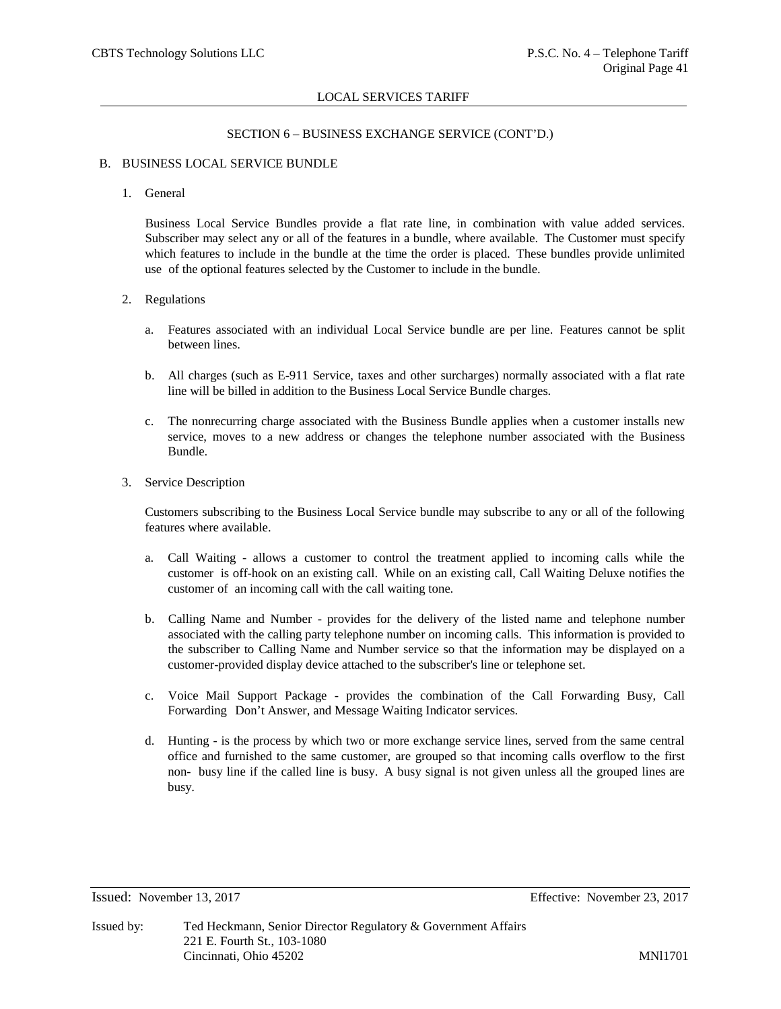### SECTION 6 – BUSINESS EXCHANGE SERVICE (CONT'D.)

### B. BUSINESS LOCAL SERVICE BUNDLE

### 1. General

Business Local Service Bundles provide a flat rate line, in combination with value added services. Subscriber may select any or all of the features in a bundle, where available. The Customer must specify which features to include in the bundle at the time the order is placed. These bundles provide unlimited use of the optional features selected by the Customer to include in the bundle.

### 2. Regulations

- a. Features associated with an individual Local Service bundle are per line. Features cannot be split between lines.
- b. All charges (such as E-911 Service, taxes and other surcharges) normally associated with a flat rate line will be billed in addition to the Business Local Service Bundle charges.
- c. The nonrecurring charge associated with the Business Bundle applies when a customer installs new service, moves to a new address or changes the telephone number associated with the Business Bundle.
- 3. Service Description

Customers subscribing to the Business Local Service bundle may subscribe to any or all of the following features where available.

- a. Call Waiting allows a customer to control the treatment applied to incoming calls while the customer is off-hook on an existing call. While on an existing call, Call Waiting Deluxe notifies the customer of an incoming call with the call waiting tone.
- b. Calling Name and Number provides for the delivery of the listed name and telephone number associated with the calling party telephone number on incoming calls. This information is provided to the subscriber to Calling Name and Number service so that the information may be displayed on a customer-provided display device attached to the subscriber's line or telephone set.
- c. Voice Mail Support Package provides the combination of the Call Forwarding Busy, Call Forwarding Don't Answer, and Message Waiting Indicator services.
- d. Hunting is the process by which two or more exchange service lines, served from the same central office and furnished to the same customer, are grouped so that incoming calls overflow to the first non- busy line if the called line is busy. A busy signal is not given unless all the grouped lines are busy.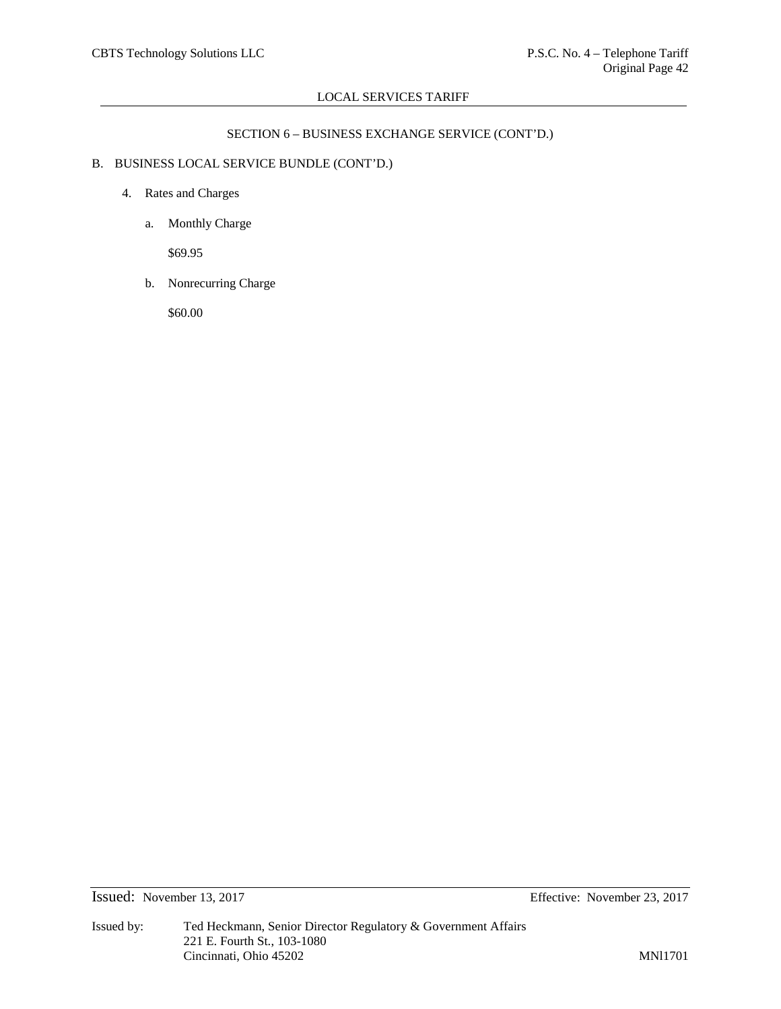# SECTION 6 – BUSINESS EXCHANGE SERVICE (CONT'D.)

# B. BUSINESS LOCAL SERVICE BUNDLE (CONT'D.)

- 4. Rates and Charges
	- a. Monthly Charge

\$69.95

b. Nonrecurring Charge

\$60.00

Issued: November 13, 2017 Effective: November 23, 2017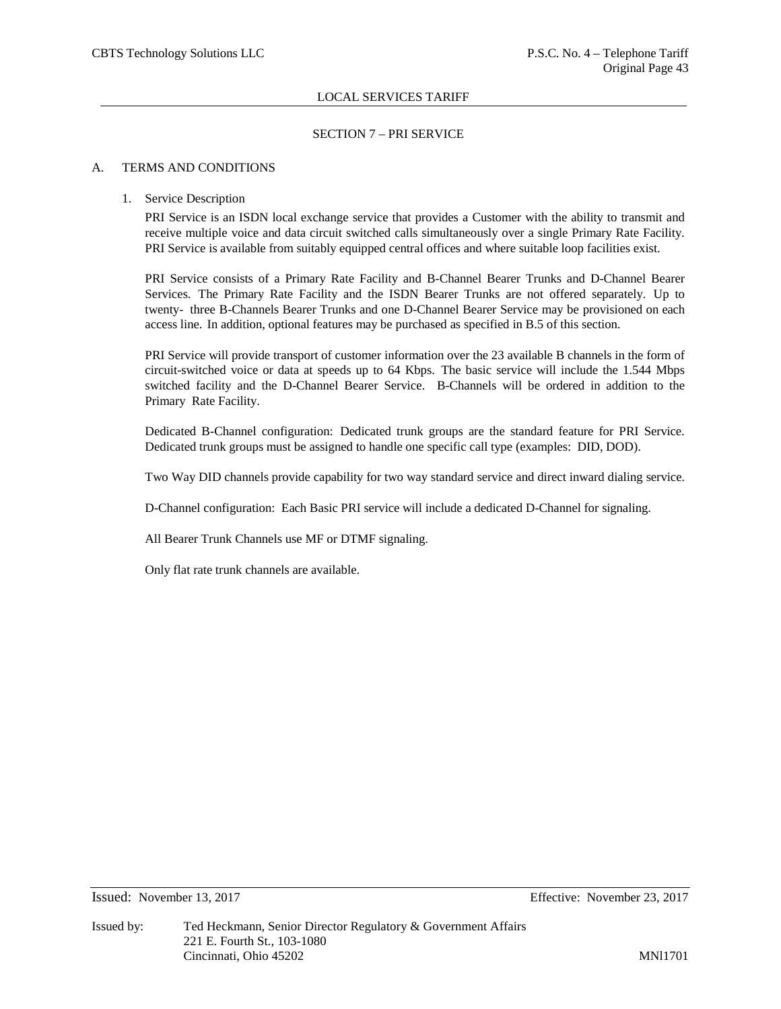# SECTION 7 – PRI SERVICE

# A. TERMS AND CONDITIONS

# 1. Service Description

PRI Service is an ISDN local exchange service that provides a Customer with the ability to transmit and receive multiple voice and data circuit switched calls simultaneously over a single Primary Rate Facility. PRI Service is available from suitably equipped central offices and where suitable loop facilities exist.

PRI Service consists of a Primary Rate Facility and B-Channel Bearer Trunks and D-Channel Bearer Services. The Primary Rate Facility and the ISDN Bearer Trunks are not offered separately. Up to twenty- three B-Channels Bearer Trunks and one D-Channel Bearer Service may be provisioned on each access line. In addition, optional features may be purchased as specified in B.5 of this section.

PRI Service will provide transport of customer information over the 23 available B channels in the form of circuit-switched voice or data at speeds up to 64 Kbps. The basic service will include the 1.544 Mbps switched facility and the D-Channel Bearer Service. B-Channels will be ordered in addition to the Primary Rate Facility.

Dedicated B-Channel configuration: Dedicated trunk groups are the standard feature for PRI Service. Dedicated trunk groups must be assigned to handle one specific call type (examples: DID, DOD).

Two Way DID channels provide capability for two way standard service and direct inward dialing service.

D-Channel configuration: Each Basic PRI service will include a dedicated D-Channel for signaling.

All Bearer Trunk Channels use MF or DTMF signaling.

Only flat rate trunk channels are available.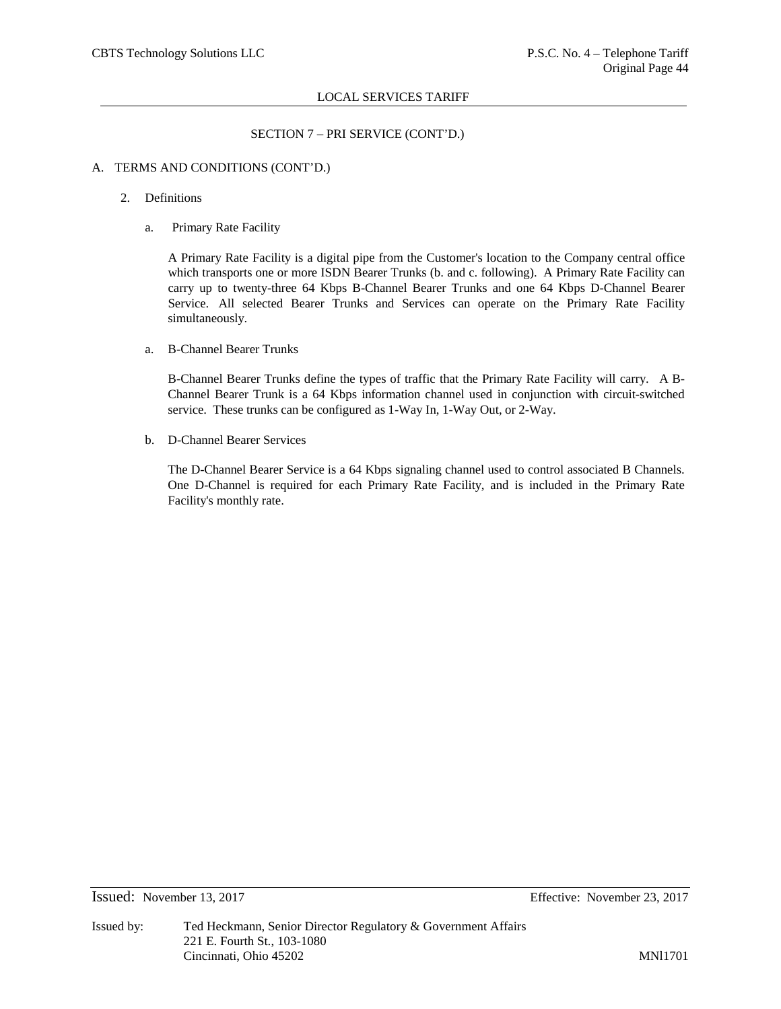# SECTION 7 – PRI SERVICE (CONT'D.)

# A. TERMS AND CONDITIONS (CONT'D.)

### 2. Definitions

a. Primary Rate Facility

A Primary Rate Facility is a digital pipe from the Customer's location to the Company central office which transports one or more ISDN Bearer Trunks (b. and c. following). A Primary Rate Facility can carry up to twenty-three 64 Kbps B-Channel Bearer Trunks and one 64 Kbps D-Channel Bearer Service. All selected Bearer Trunks and Services can operate on the Primary Rate Facility simultaneously.

a. B-Channel Bearer Trunks

B-Channel Bearer Trunks define the types of traffic that the Primary Rate Facility will carry. A B-Channel Bearer Trunk is a 64 Kbps information channel used in conjunction with circuit-switched service. These trunks can be configured as 1-Way In, 1-Way Out, or 2-Way.

b. D-Channel Bearer Services

The D-Channel Bearer Service is a 64 Kbps signaling channel used to control associated B Channels. One D-Channel is required for each Primary Rate Facility, and is included in the Primary Rate Facility's monthly rate.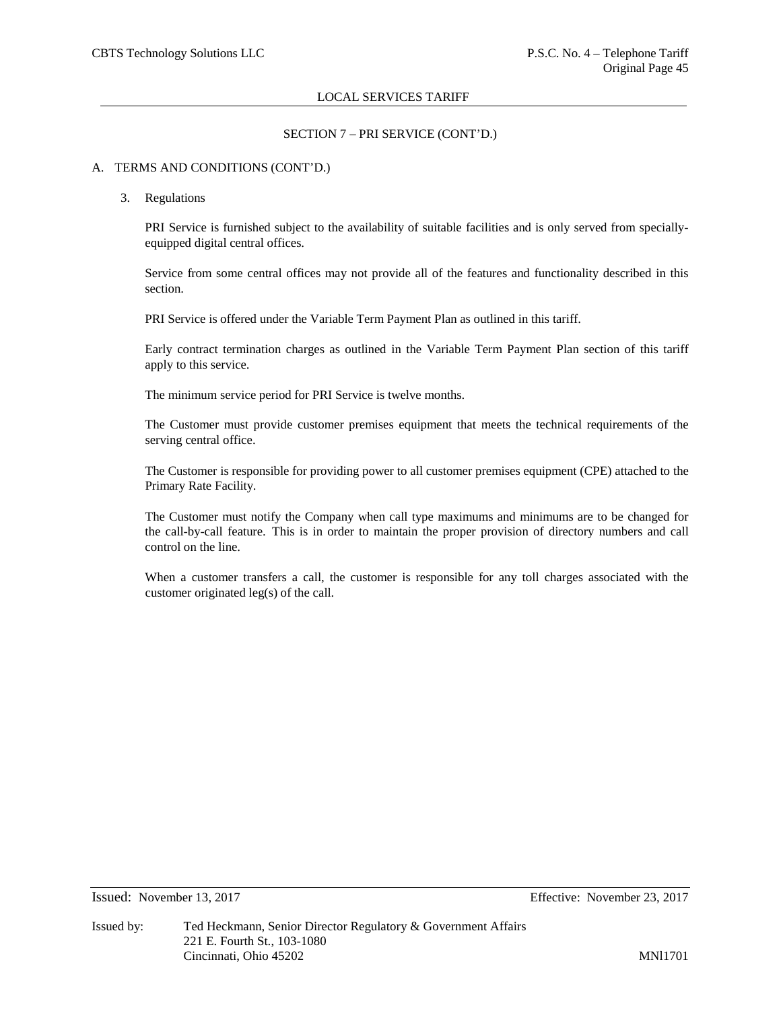# SECTION 7 – PRI SERVICE (CONT'D.)

# A. TERMS AND CONDITIONS (CONT'D.)

### 3. Regulations

PRI Service is furnished subject to the availability of suitable facilities and is only served from speciallyequipped digital central offices.

Service from some central offices may not provide all of the features and functionality described in this section.

PRI Service is offered under the Variable Term Payment Plan as outlined in this tariff.

Early contract termination charges as outlined in the Variable Term Payment Plan section of this tariff apply to this service.

The minimum service period for PRI Service is twelve months.

The Customer must provide customer premises equipment that meets the technical requirements of the serving central office.

The Customer is responsible for providing power to all customer premises equipment (CPE) attached to the Primary Rate Facility.

The Customer must notify the Company when call type maximums and minimums are to be changed for the call-by-call feature. This is in order to maintain the proper provision of directory numbers and call control on the line.

When a customer transfers a call, the customer is responsible for any toll charges associated with the customer originated leg(s) of the call.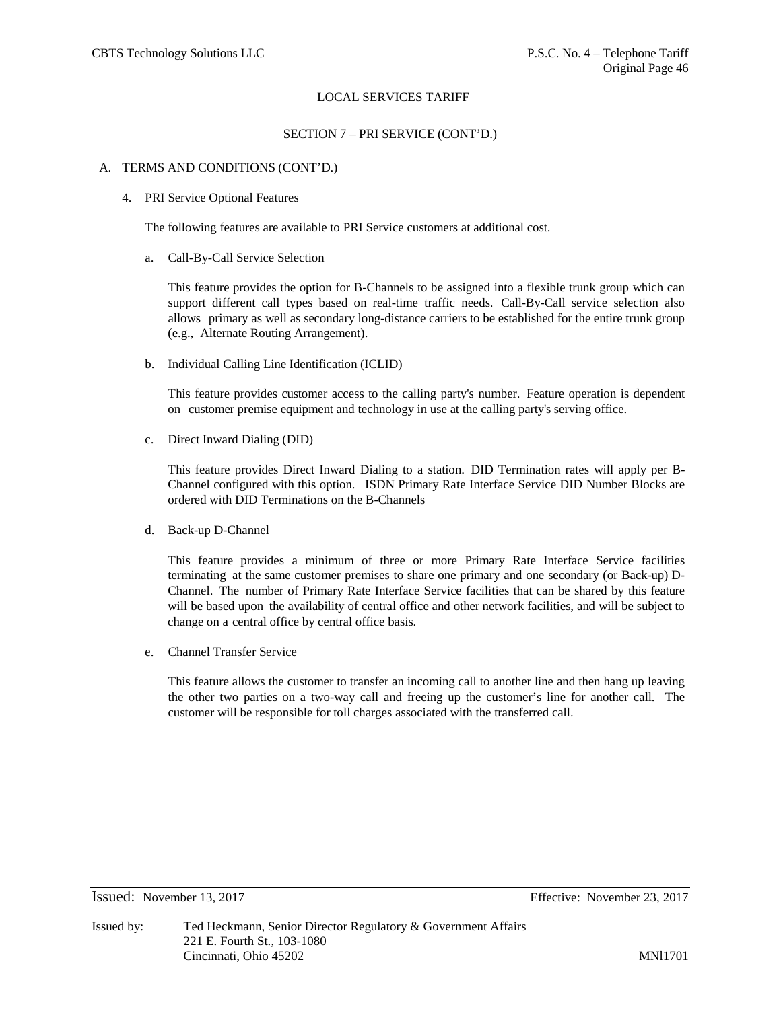### SECTION 7 – PRI SERVICE (CONT'D.)

### A. TERMS AND CONDITIONS (CONT'D.)

### 4. PRI Service Optional Features

The following features are available to PRI Service customers at additional cost.

a. Call-By-Call Service Selection

This feature provides the option for B-Channels to be assigned into a flexible trunk group which can support different call types based on real-time traffic needs. Call-By-Call service selection also allows primary as well as secondary long-distance carriers to be established for the entire trunk group (e.g., Alternate Routing Arrangement).

b. Individual Calling Line Identification (ICLID)

This feature provides customer access to the calling party's number. Feature operation is dependent on customer premise equipment and technology in use at the calling party's serving office.

c. Direct Inward Dialing (DID)

This feature provides Direct Inward Dialing to a station. DID Termination rates will apply per B-Channel configured with this option. ISDN Primary Rate Interface Service DID Number Blocks are ordered with DID Terminations on the B-Channels

d. Back-up D-Channel

This feature provides a minimum of three or more Primary Rate Interface Service facilities terminating at the same customer premises to share one primary and one secondary (or Back-up) D-Channel. The number of Primary Rate Interface Service facilities that can be shared by this feature will be based upon the availability of central office and other network facilities, and will be subject to change on a central office by central office basis.

e. Channel Transfer Service

This feature allows the customer to transfer an incoming call to another line and then hang up leaving the other two parties on a two-way call and freeing up the customer's line for another call. The customer will be responsible for toll charges associated with the transferred call.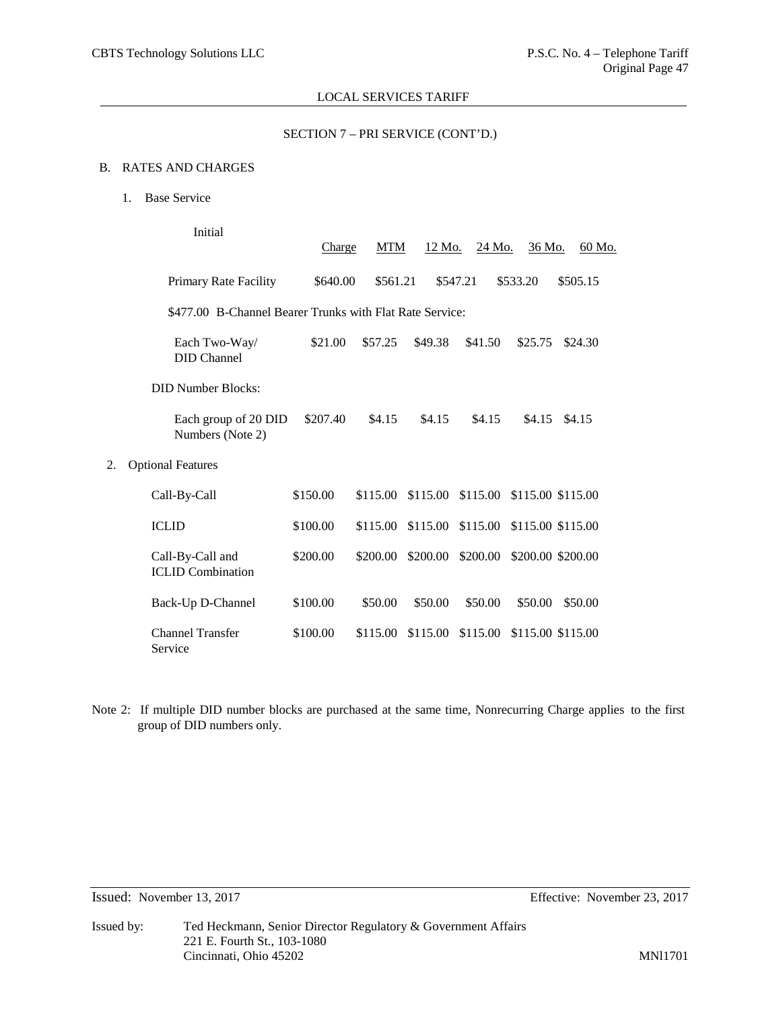# SECTION 7 – PRI SERVICE (CONT'D.)

# B. RATES AND CHARGES

1. Base Service

|    | Initial                                                  | Charge   | <b>MTM</b> | 12 Mo.   | 24 Mo.                              | 36 Mo.                     | 60 Mo.   |  |
|----|----------------------------------------------------------|----------|------------|----------|-------------------------------------|----------------------------|----------|--|
|    | Primary Rate Facility                                    | \$640.00 | \$561.21   |          | \$547.21                            | \$533.20                   | \$505.15 |  |
|    | \$477.00 B-Channel Bearer Trunks with Flat Rate Service: |          |            |          |                                     |                            |          |  |
|    | Each Two-Way/<br><b>DID</b> Channel                      | \$21.00  | \$57.25    | \$49.38  | \$41.50                             | \$25.75                    | \$24.30  |  |
|    | <b>DID Number Blocks:</b>                                |          |            |          |                                     |                            |          |  |
|    | Each group of 20 DID<br>Numbers (Note 2)                 | \$207.40 | \$4.15     | \$4.15   | \$4.15                              | \$4.15                     | \$4.15   |  |
| 2. | <b>Optional Features</b>                                 |          |            |          |                                     |                            |          |  |
|    | Call-By-Call                                             | \$150.00 | \$115.00   | \$115.00 |                                     | \$115.00 \$115.00 \$115.00 |          |  |
|    | <b>ICLID</b>                                             | \$100.00 | \$115.00   |          | \$115.00 \$115.00 \$115.00 \$115.00 |                            |          |  |
|    | Call-By-Call and<br><b>ICLID</b> Combination             | \$200.00 | \$200.00   | \$200.00 | \$200.00                            | \$200.00 \$200.00          |          |  |
|    | Back-Up D-Channel                                        | \$100.00 | \$50.00    | \$50.00  | \$50.00                             | \$50.00                    | \$50.00  |  |
|    | <b>Channel Transfer</b><br>Service                       | \$100.00 | \$115.00   | \$115.00 | \$115.00                            | \$115.00 \$115.00          |          |  |

Note 2: If multiple DID number blocks are purchased at the same time, Nonrecurring Charge applies to the first group of DID numbers only.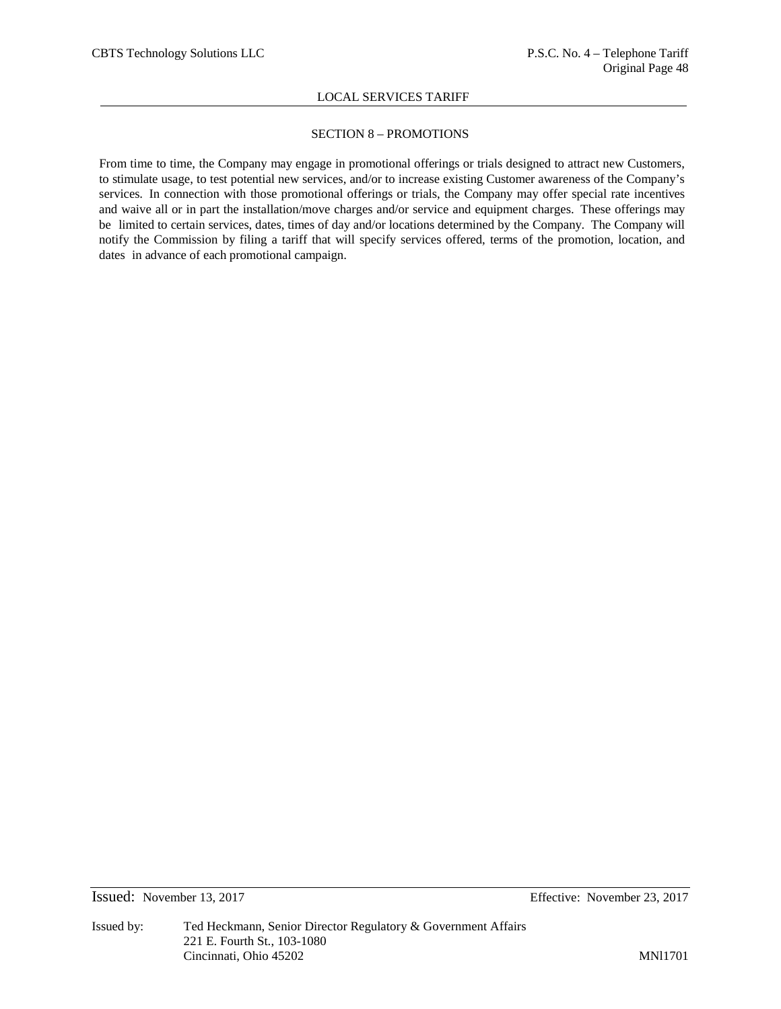# SECTION 8 – PROMOTIONS

From time to time, the Company may engage in promotional offerings or trials designed to attract new Customers, to stimulate usage, to test potential new services, and/or to increase existing Customer awareness of the Company's services. In connection with those promotional offerings or trials, the Company may offer special rate incentives and waive all or in part the installation/move charges and/or service and equipment charges. These offerings may be limited to certain services, dates, times of day and/or locations determined by the Company. The Company will notify the Commission by filing a tariff that will specify services offered, terms of the promotion, location, and dates in advance of each promotional campaign.

Issued: November 13, 2017 Effective: November 23, 2017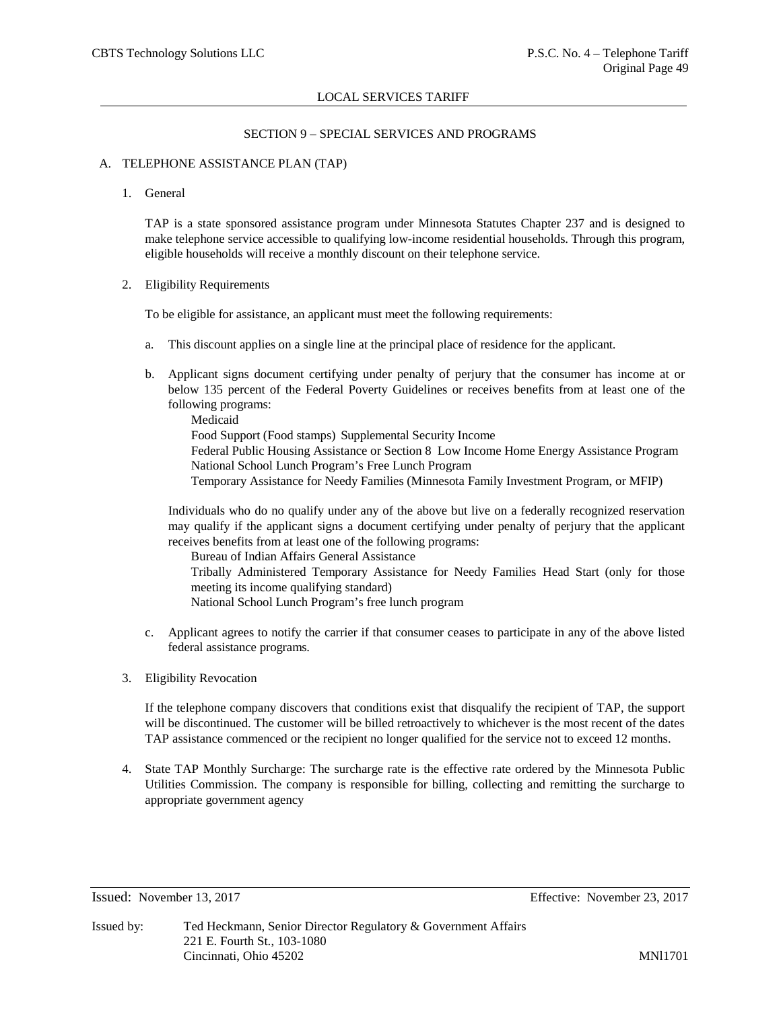# SECTION 9 – SPECIAL SERVICES AND PROGRAMS

### A. TELEPHONE ASSISTANCE PLAN (TAP)

1. General

TAP is a state sponsored assistance program under Minnesota Statutes Chapter 237 and is designed to make telephone service accessible to qualifying low-income residential households. Through this program, eligible households will receive a monthly discount on their telephone service.

2. Eligibility Requirements

To be eligible for assistance, an applicant must meet the following requirements:

- a. This discount applies on a single line at the principal place of residence for the applicant.
- b. Applicant signs document certifying under penalty of perjury that the consumer has income at or below 135 percent of the Federal Poverty Guidelines or receives benefits from at least one of the following programs:

Medicaid Food Support (Food stamps) Supplemental Security Income Federal Public Housing Assistance or Section 8 Low Income Home Energy Assistance Program National School Lunch Program's Free Lunch Program Temporary Assistance for Needy Families (Minnesota Family Investment Program, or MFIP)

Individuals who do no qualify under any of the above but live on a federally recognized reservation may qualify if the applicant signs a document certifying under penalty of perjury that the applicant receives benefits from at least one of the following programs:

Bureau of Indian Affairs General Assistance

Tribally Administered Temporary Assistance for Needy Families Head Start (only for those meeting its income qualifying standard)

National School Lunch Program's free lunch program

- c. Applicant agrees to notify the carrier if that consumer ceases to participate in any of the above listed federal assistance programs.
- 3. Eligibility Revocation

If the telephone company discovers that conditions exist that disqualify the recipient of TAP, the support will be discontinued. The customer will be billed retroactively to whichever is the most recent of the dates TAP assistance commenced or the recipient no longer qualified for the service not to exceed 12 months.

4. State TAP Monthly Surcharge: The surcharge rate is the effective rate ordered by the Minnesota Public Utilities Commission. The company is responsible for billing, collecting and remitting the surcharge to appropriate government agency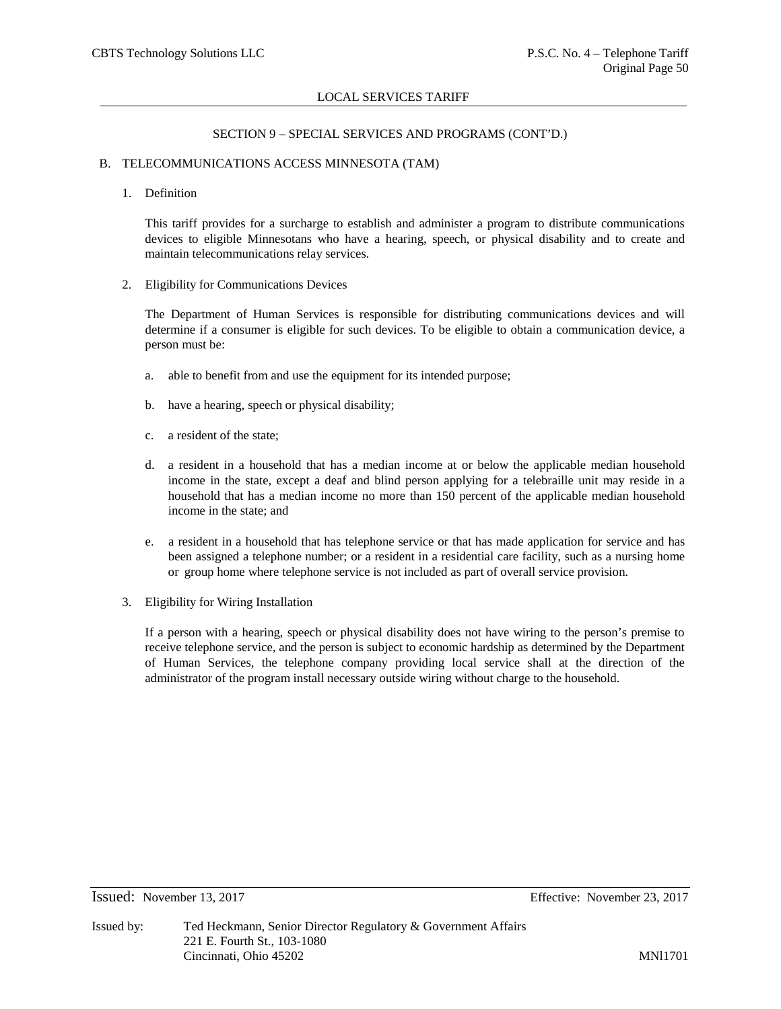### SECTION 9 – SPECIAL SERVICES AND PROGRAMS (CONT'D.)

### B. TELECOMMUNICATIONS ACCESS MINNESOTA (TAM)

### 1. Definition

This tariff provides for a surcharge to establish and administer a program to distribute communications devices to eligible Minnesotans who have a hearing, speech, or physical disability and to create and maintain telecommunications relay services.

2. Eligibility for Communications Devices

The Department of Human Services is responsible for distributing communications devices and will determine if a consumer is eligible for such devices. To be eligible to obtain a communication device, a person must be:

- a. able to benefit from and use the equipment for its intended purpose;
- b. have a hearing, speech or physical disability;
- c. a resident of the state;
- d. a resident in a household that has a median income at or below the applicable median household income in the state, except a deaf and blind person applying for a telebraille unit may reside in a household that has a median income no more than 150 percent of the applicable median household income in the state; and
- e. a resident in a household that has telephone service or that has made application for service and has been assigned a telephone number; or a resident in a residential care facility, such as a nursing home or group home where telephone service is not included as part of overall service provision.
- 3. Eligibility for Wiring Installation

If a person with a hearing, speech or physical disability does not have wiring to the person's premise to receive telephone service, and the person is subject to economic hardship as determined by the Department of Human Services, the telephone company providing local service shall at the direction of the administrator of the program install necessary outside wiring without charge to the household.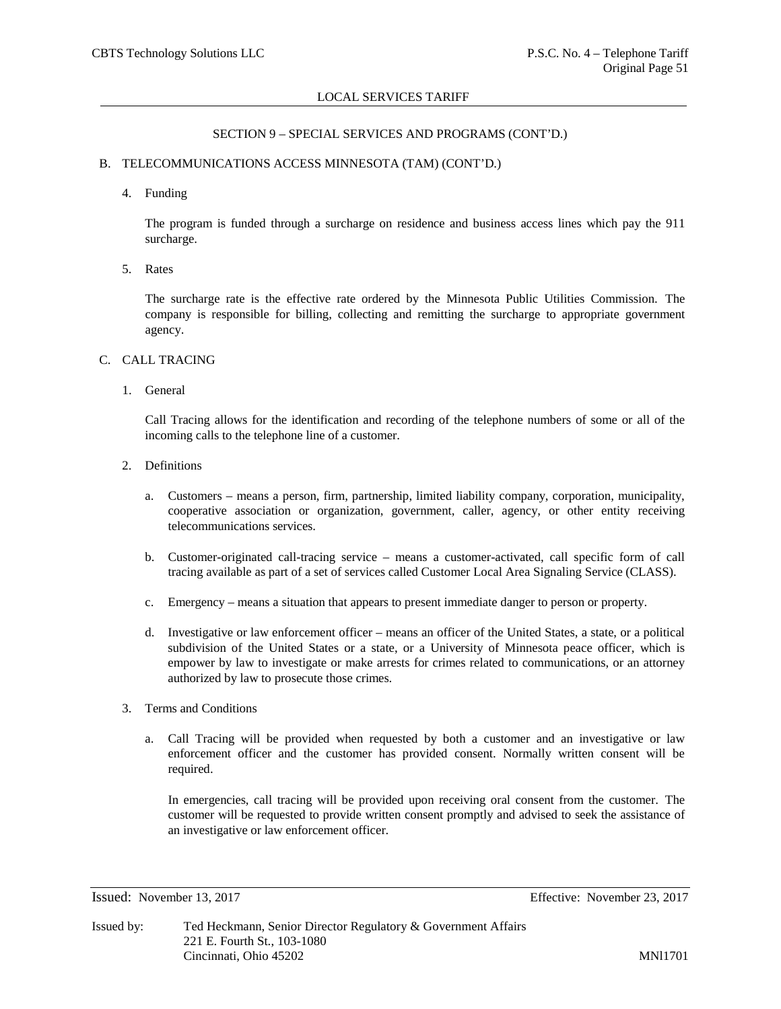### SECTION 9 – SPECIAL SERVICES AND PROGRAMS (CONT'D.)

# B. TELECOMMUNICATIONS ACCESS MINNESOTA (TAM) (CONT'D.)

4. Funding

The program is funded through a surcharge on residence and business access lines which pay the 911 surcharge.

5. Rates

The surcharge rate is the effective rate ordered by the Minnesota Public Utilities Commission. The company is responsible for billing, collecting and remitting the surcharge to appropriate government agency.

### C. CALL TRACING

1. General

Call Tracing allows for the identification and recording of the telephone numbers of some or all of the incoming calls to the telephone line of a customer.

- 2. Definitions
	- a. Customers means a person, firm, partnership, limited liability company, corporation, municipality, cooperative association or organization, government, caller, agency, or other entity receiving telecommunications services.
	- b. Customer-originated call-tracing service means a customer-activated, call specific form of call tracing available as part of a set of services called Customer Local Area Signaling Service (CLASS).
	- c. Emergency means a situation that appears to present immediate danger to person or property.
	- d. Investigative or law enforcement officer means an officer of the United States, a state, or a political subdivision of the United States or a state, or a University of Minnesota peace officer, which is empower by law to investigate or make arrests for crimes related to communications, or an attorney authorized by law to prosecute those crimes.
- 3. Terms and Conditions
	- a. Call Tracing will be provided when requested by both a customer and an investigative or law enforcement officer and the customer has provided consent. Normally written consent will be required.

In emergencies, call tracing will be provided upon receiving oral consent from the customer. The customer will be requested to provide written consent promptly and advised to seek the assistance of an investigative or law enforcement officer.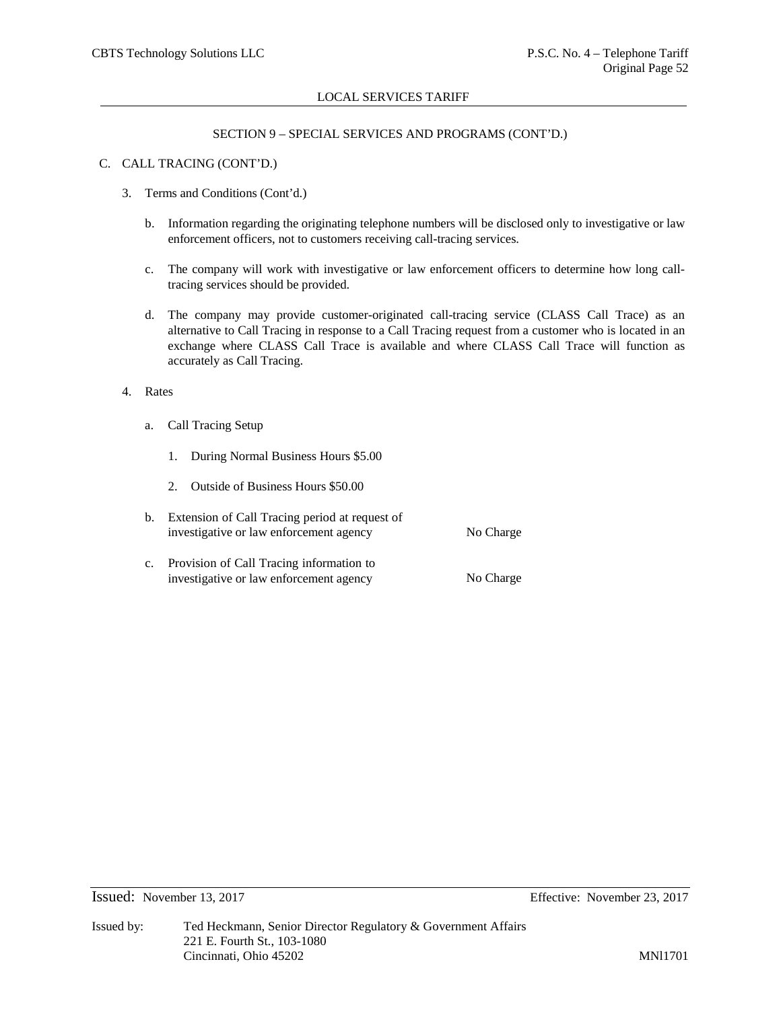# SECTION 9 – SPECIAL SERVICES AND PROGRAMS (CONT'D.)

### C. CALL TRACING (CONT'D.)

- 3. Terms and Conditions (Cont'd.)
	- b. Information regarding the originating telephone numbers will be disclosed only to investigative or law enforcement officers, not to customers receiving call-tracing services.
	- c. The company will work with investigative or law enforcement officers to determine how long calltracing services should be provided.
	- d. The company may provide customer-originated call-tracing service (CLASS Call Trace) as an alternative to Call Tracing in response to a Call Tracing request from a customer who is located in an exchange where CLASS Call Trace is available and where CLASS Call Trace will function as accurately as Call Tracing.
- 4. Rates
	- a. Call Tracing Setup
		- 1. During Normal Business Hours \$5.00
		- 2. Outside of Business Hours \$50.00
	- b. Extension of Call Tracing period at request of investigative or law enforcement agency No Charge c. Provision of Call Tracing information to investigative or law enforcement agency No Charge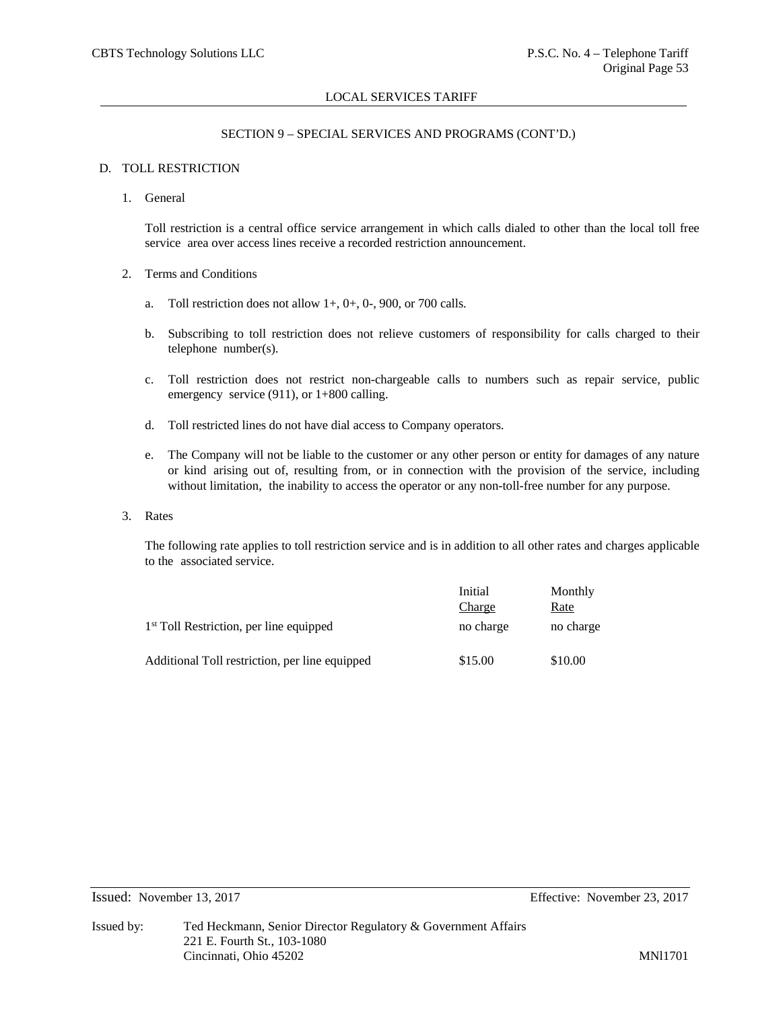# SECTION 9 – SPECIAL SERVICES AND PROGRAMS (CONT'D.)

# D. TOLL RESTRICTION

1. General

Toll restriction is a central office service arrangement in which calls dialed to other than the local toll free service area over access lines receive a recorded restriction announcement.

- 2. Terms and Conditions
	- a. Toll restriction does not allow  $1+, 0+, 0-, 900$ , or 700 calls.
	- b. Subscribing to toll restriction does not relieve customers of responsibility for calls charged to their telephone number(s).
	- c. Toll restriction does not restrict non-chargeable calls to numbers such as repair service, public emergency service (911), or 1+800 calling.
	- d. Toll restricted lines do not have dial access to Company operators.
	- e. The Company will not be liable to the customer or any other person or entity for damages of any nature or kind arising out of, resulting from, or in connection with the provision of the service, including without limitation, the inability to access the operator or any non-toll-free number for any purpose.
- 3. Rates

The following rate applies to toll restriction service and is in addition to all other rates and charges applicable to the associated service.

|                                                     | Initial<br>Charge | Monthly<br>Rate |
|-----------------------------------------------------|-------------------|-----------------|
| 1 <sup>st</sup> Toll Restriction, per line equipped | no charge         | no charge       |
| Additional Toll restriction, per line equipped      | \$15.00           | \$10.00         |